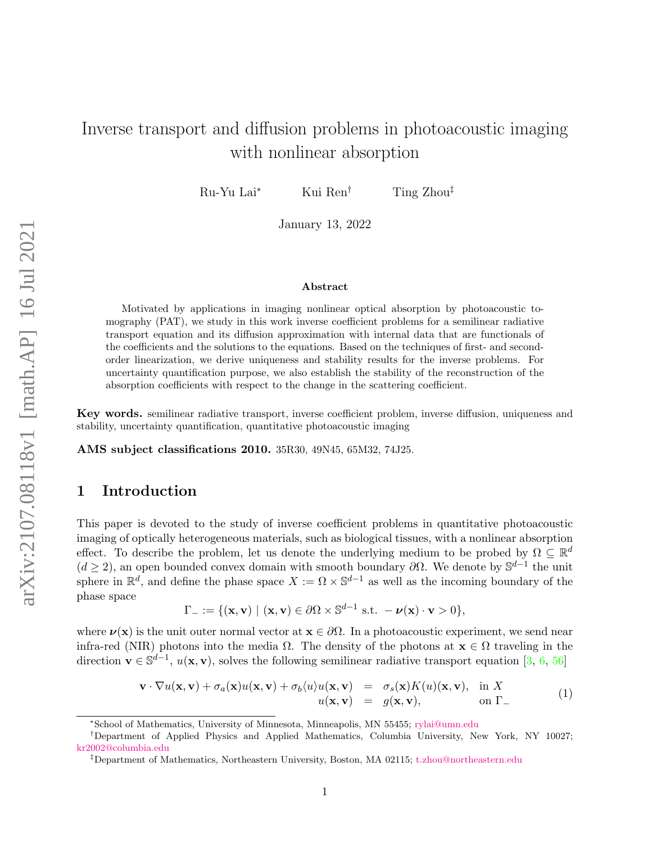# Inverse transport and diffusion problems in photoacoustic imaging with nonlinear absorption

Ru-Yu Lai<sup>∗</sup> Kui Ren† Ting Zhou‡

January 13, 2022

#### Abstract

Motivated by applications in imaging nonlinear optical absorption by photoacoustic tomography (PAT), we study in this work inverse coefficient problems for a semilinear radiative transport equation and its diffusion approximation with internal data that are functionals of the coefficients and the solutions to the equations. Based on the techniques of first- and secondorder linearization, we derive uniqueness and stability results for the inverse problems. For uncertainty quantification purpose, we also establish the stability of the reconstruction of the absorption coefficients with respect to the change in the scattering coefficient.

Key words. semilinear radiative transport, inverse coefficient problem, inverse diffusion, uniqueness and stability, uncertainty quantification, quantitative photoacoustic imaging

AMS subject classifications 2010. 35R30, 49N45, 65M32, 74J25.

## 1 Introduction

This paper is devoted to the study of inverse coefficient problems in quantitative photoacoustic imaging of optically heterogeneous materials, such as biological tissues, with a nonlinear absorption effect. To describe the problem, let us denote the underlying medium to be probed by  $\Omega \subseteq \mathbb{R}^d$  $(d \geq 2)$ , an open bounded convex domain with smooth boundary  $\partial\Omega$ . We denote by  $\mathbb{S}^{d-1}$  the unit sphere in  $\mathbb{R}^d$ , and define the phase space  $X := \Omega \times \mathbb{S}^{d-1}$  as well as the incoming boundary of the phase space

$$
\Gamma_{-} := \{(\mathbf{x}, \mathbf{v}) \mid (\mathbf{x}, \mathbf{v}) \in \partial \Omega \times \mathbb{S}^{d-1} \text{ s.t. } -\boldsymbol{\nu}(\mathbf{x}) \cdot \mathbf{v} > 0\},
$$

where  $\nu(\mathbf{x})$  is the unit outer normal vector at  $\mathbf{x} \in \partial \Omega$ . In a photoacoustic experiment, we send near infra-red (NIR) photons into the media  $\Omega$ . The density of the photons at  $\mathbf{x} \in \Omega$  traveling in the direction  $\mathbf{v} \in \mathbb{S}^{d-1}$ ,  $u(\mathbf{x}, \mathbf{v})$ , solves the following semilinear radiative transport equation [\[3,](#page-20-0) [6,](#page-20-1) [56\]](#page-23-0)

<span id="page-0-0"></span>
$$
\mathbf{v} \cdot \nabla u(\mathbf{x}, \mathbf{v}) + \sigma_a(\mathbf{x}) u(\mathbf{x}, \mathbf{v}) + \sigma_b \langle u \rangle u(\mathbf{x}, \mathbf{v}) = \sigma_s(\mathbf{x}) K(u)(\mathbf{x}, \mathbf{v}), \text{ in } X \n u(\mathbf{x}, \mathbf{v}) = g(\mathbf{x}, \mathbf{v}), \text{ on } \Gamma_{-}
$$
\n(1)

<sup>∗</sup>School of Mathematics, University of Minnesota, Minneapolis, MN 55455; [rylai@umn.edu](mailto:rylai@umn.edu)

<sup>†</sup>Department of Applied Physics and Applied Mathematics, Columbia University, New York, NY 10027; [kr2002@columbia.edu](mailto:kr2002@columbia.edu)

<sup>‡</sup>Department of Mathematics, Northeastern University, Boston, MA 02115; [t.zhou@northeastern.edu](mailto:t.zhou@northeastern.edu)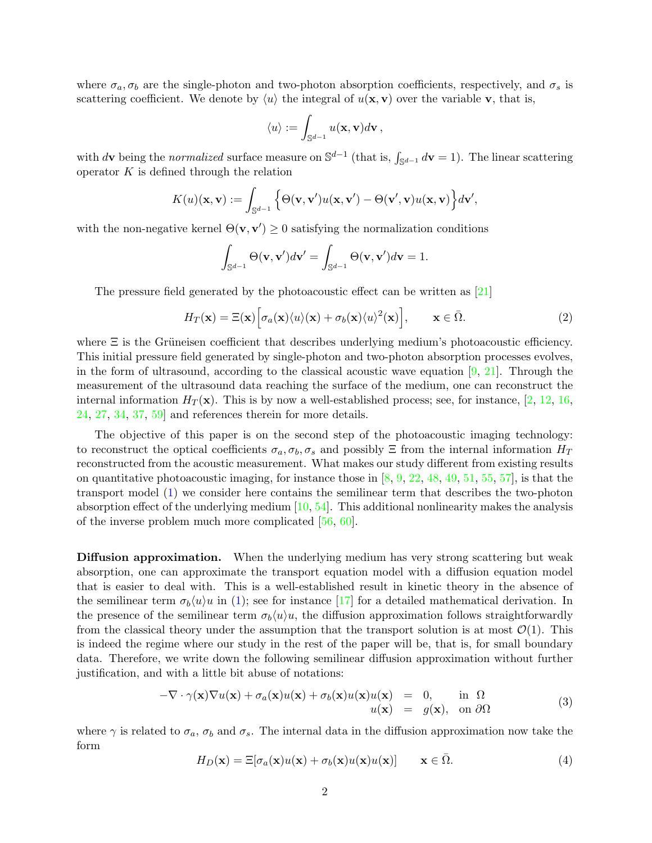where  $\sigma_a, \sigma_b$  are the single-photon and two-photon absorption coefficients, respectively, and  $\sigma_s$  is scattering coefficient. We denote by  $\langle u \rangle$  the integral of  $u(\mathbf{x}, \mathbf{v})$  over the variable **v**, that is,

$$
\langle u \rangle := \int_{\mathbb{S}^{d-1}} u(\mathbf{x}, \mathbf{v}) d\mathbf{v},
$$

with dv being the normalized surface measure on  $\mathbb{S}^{d-1}$  (that is,  $\int_{\mathbb{S}^{d-1}} d\mathbf{v} = 1$ ). The linear scattering operator  $K$  is defined through the relation

$$
K(u)(\mathbf{x}, \mathbf{v}) := \int_{\mathbb{S}^{d-1}} \Big\{ \Theta(\mathbf{v}, \mathbf{v}') u(\mathbf{x}, \mathbf{v}') - \Theta(\mathbf{v}', \mathbf{v}) u(\mathbf{x}, \mathbf{v}) \Big\} d\mathbf{v}',
$$

with the non-negative kernel  $\Theta(\mathbf{v}, \mathbf{v}') \geq 0$  satisfying the normalization conditions

$$
\int_{\mathbb{S}^{d-1}} \Theta(\mathbf{v}, \mathbf{v}') d\mathbf{v}' = \int_{\mathbb{S}^{d-1}} \Theta(\mathbf{v}, \mathbf{v}') d\mathbf{v} = 1.
$$

The pressure field generated by the photoacoustic effect can be written as [\[21\]](#page-21-0)

<span id="page-1-0"></span>
$$
H_T(\mathbf{x}) = \Xi(\mathbf{x}) \Big[ \sigma_a(\mathbf{x}) \langle u \rangle(\mathbf{x}) + \sigma_b(\mathbf{x}) \langle u \rangle^2(\mathbf{x}) \Big], \qquad \mathbf{x} \in \bar{\Omega}.
$$
 (2)

where  $\Xi$  is the Grüneisen coefficient that describes underlying medium's photoacoustic efficiency. This initial pressure field generated by single-photon and two-photon absorption processes evolves, in the form of ultrasound, according to the classical acoustic wave equation  $[9, 21]$  $[9, 21]$ . Through the measurement of the ultrasound data reaching the surface of the medium, one can reconstruct the internal information  $H_T(\mathbf{x})$ . This is by now a well-established process; see, for instance, [\[2,](#page-20-2) [12,](#page-21-2) [16,](#page-21-3) [24,](#page-21-4) [27,](#page-22-0) [34,](#page-22-1) [37,](#page-22-2) [59\]](#page-23-1) and references therein for more details.

The objective of this paper is on the second step of the photoacoustic imaging technology: to reconstruct the optical coefficients  $\sigma_a, \sigma_b, \sigma_s$  and possibly  $\Xi$  from the internal information  $H_T$ reconstructed from the acoustic measurement. What makes our study different from existing results on quantitative photoacoustic imaging, for instance those in  $[8, 9, 22, 48, 49, 51, 55, 57]$  $[8, 9, 22, 48, 49, 51, 55, 57]$  $[8, 9, 22, 48, 49, 51, 55, 57]$  $[8, 9, 22, 48, 49, 51, 55, 57]$  $[8, 9, 22, 48, 49, 51, 55, 57]$  $[8, 9, 22, 48, 49, 51, 55, 57]$  $[8, 9, 22, 48, 49, 51, 55, 57]$  $[8, 9, 22, 48, 49, 51, 55, 57]$  $[8, 9, 22, 48, 49, 51, 55, 57]$  $[8, 9, 22, 48, 49, 51, 55, 57]$  $[8, 9, 22, 48, 49, 51, 55, 57]$  $[8, 9, 22, 48, 49, 51, 55, 57]$  $[8, 9, 22, 48, 49, 51, 55, 57]$  $[8, 9, 22, 48, 49, 51, 55, 57]$ , is that the transport model [\(1\)](#page-0-0) we consider here contains the semilinear term that describes the two-photon absorption effect of the underlying medium [\[10,](#page-21-6) [54\]](#page-23-7). This additional nonlinearity makes the analysis of the inverse problem much more complicated [\[56,](#page-23-0) [60\]](#page-23-8).

Diffusion approximation. When the underlying medium has very strong scattering but weak absorption, one can approximate the transport equation model with a diffusion equation model that is easier to deal with. This is a well-established result in kinetic theory in the absence of the semilinear term  $\sigma_b \langle u \rangle u$  in [\(1\)](#page-0-0); see for instance [\[17\]](#page-21-7) for a detailed mathematical derivation. In the presence of the semilinear term  $\sigma_b\langle u\rangle u$ , the diffusion approximation follows straightforwardly from the classical theory under the assumption that the transport solution is at most  $\mathcal{O}(1)$ . This is indeed the regime where our study in the rest of the paper will be, that is, for small boundary data. Therefore, we write down the following semilinear diffusion approximation without further justification, and with a little bit abuse of notations:

$$
-\nabla \cdot \gamma(\mathbf{x}) \nabla u(\mathbf{x}) + \sigma_a(\mathbf{x}) u(\mathbf{x}) + \sigma_b(\mathbf{x}) u(\mathbf{x}) u(\mathbf{x}) = 0, \quad \text{in } \Omega
$$
  
 
$$
u(\mathbf{x}) = g(\mathbf{x}), \quad \text{on } \partial\Omega
$$
 (3)

where  $\gamma$  is related to  $\sigma_a$ ,  $\sigma_b$  and  $\sigma_s$ . The internal data in the diffusion approximation now take the form

<span id="page-1-1"></span>
$$
H_D(\mathbf{x}) = \Xi[\sigma_a(\mathbf{x})u(\mathbf{x}) + \sigma_b(\mathbf{x})u(\mathbf{x})u(\mathbf{x})] \qquad \mathbf{x} \in \bar{\Omega}.
$$
 (4)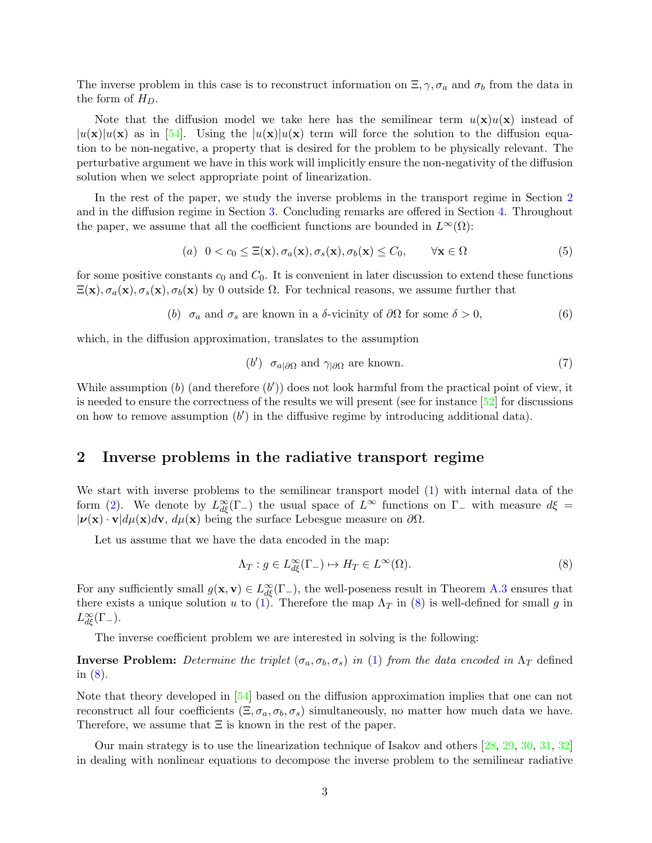The inverse problem in this case is to reconstruct information on  $\Xi$ ,  $\gamma$ ,  $\sigma_a$  and  $\sigma_b$  from the data in the form of  $H_D$ .

Note that the diffusion model we take here has the semilinear term  $u(\mathbf{x})u(\mathbf{x})$  instead of  $|u(\mathbf{x})|u(\mathbf{x})$  as in [\[54\]](#page-23-7). Using the  $|u(\mathbf{x})|u(\mathbf{x})$  term will force the solution to the diffusion equation to be non-negative, a property that is desired for the problem to be physically relevant. The perturbative argument we have in this work will implicitly ensure the non-negativity of the diffusion solution when we select appropriate point of linearization.

In the rest of the paper, we study the inverse problems in the transport regime in Section [2](#page-2-0) and in the diffusion regime in Section [3.](#page-9-0) Concluding remarks are offered in Section [4.](#page-13-0) Throughout the paper, we assume that all the coefficient functions are bounded in  $L^{\infty}(\Omega)$ :

(a) 
$$
0 < c_0 \le \Xi(\mathbf{x}), \sigma_a(\mathbf{x}), \sigma_s(\mathbf{x}), \sigma_b(\mathbf{x}) \le C_0, \quad \forall \mathbf{x} \in \Omega
$$
 (5)

for some positive constants  $c_0$  and  $C_0$ . It is convenient in later discussion to extend these functions  $\Xi(\mathbf{x}), \sigma_a(\mathbf{x}), \sigma_s(\mathbf{x}), \sigma_b(\mathbf{x})$  by 0 outside  $\Omega$ . For technical reasons, we assume further that

(b) 
$$
\sigma_a
$$
 and  $\sigma_s$  are known in a  $\delta$ -vicinity of  $\partial\Omega$  for some  $\delta > 0$ , (6)

which, in the diffusion approximation, translates to the assumption

<span id="page-2-4"></span><span id="page-2-3"></span><span id="page-2-2"></span>
$$
(b') \quad \sigma_{a|\partial\Omega} \text{ and } \gamma_{|\partial\Omega} \text{ are known.} \tag{7}
$$

While assumption  $(b)$  (and therefore  $(b')$ ) does not look harmful from the practical point of view, it is needed to ensure the correctness of the results we will present (see for instance [\[52\]](#page-23-9) for discussions on how to remove assumption  $(b')$  in the diffusive regime by introducing additional data).

#### <span id="page-2-0"></span>2 Inverse problems in the radiative transport regime

We start with inverse problems to the semilinear transport model  $(1)$  with internal data of the form [\(2\)](#page-1-0). We denote by  $L^{\infty}_{d\xi}(\Gamma_{-})$  the usual space of  $L^{\infty}$  functions on  $\Gamma_{-}$  with measure  $d\xi =$  $|\nu(\mathbf{x}) \cdot \mathbf{v}| d\mu(\mathbf{x}) d\mathbf{v}, d\mu(\mathbf{x})$  being the surface Lebesgue measure on  $\partial \Omega$ .

Let us assume that we have the data encoded in the map:

<span id="page-2-1"></span>
$$
\Lambda_T: g \in L_{d\xi}^{\infty}(\Gamma_-) \mapsto H_T \in L^{\infty}(\Omega). \tag{8}
$$

For any sufficiently small  $g(\mathbf{x}, \mathbf{v}) \in L^{\infty}_{d\xi}(\Gamma_{-})$ , the well-poseness result in Theorem [A.3](#page-16-0) ensures that there exists a unique solution u to [\(1\)](#page-0-0). Therefore the map  $\Lambda_T$  in [\(8\)](#page-2-1) is well-defined for small g in  $L_{d\xi}^{\infty}(\Gamma_{-}).$ 

The inverse coefficient problem we are interested in solving is the following:

**Inverse Problem:** Determine the triplet  $(\sigma_a, \sigma_b, \sigma_s)$  in [\(1\)](#page-0-0) from the data encoded in  $\Lambda_T$  defined in [\(8\)](#page-2-1).

Note that theory developed in [\[54\]](#page-23-7) based on the diffusion approximation implies that one can not reconstruct all four coefficients  $(\Xi, \sigma_a, \sigma_b, \sigma_s)$  simultaneously, no matter how much data we have. Therefore, we assume that  $\Xi$  is known in the rest of the paper.

Our main strategy is to use the linearization technique of Isakov and others [\[28,](#page-22-3) [29,](#page-22-4) [30,](#page-22-5) [31,](#page-22-6) [32\]](#page-22-7) in dealing with nonlinear equations to decompose the inverse problem to the semilinear radiative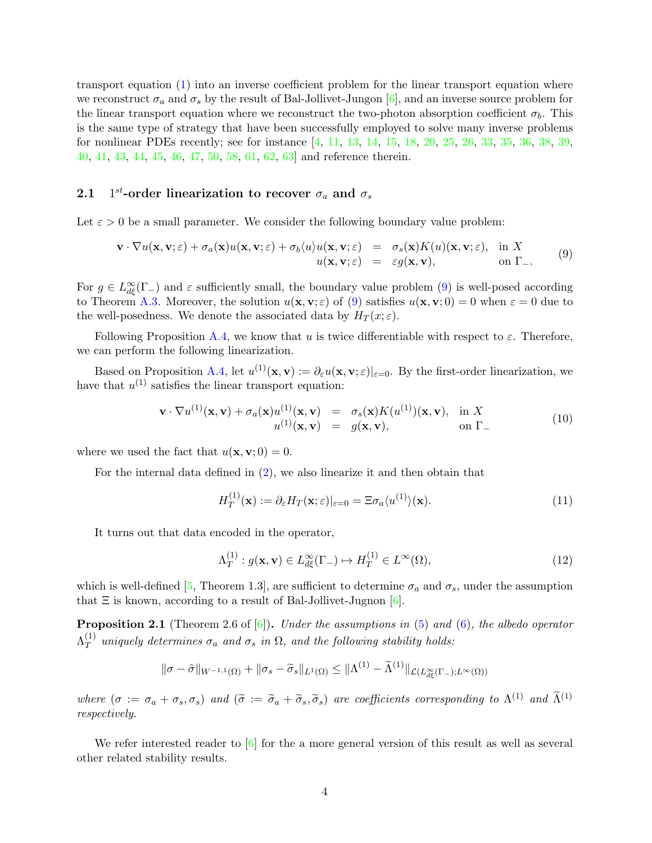transport equation [\(1\)](#page-0-0) into an inverse coefficient problem for the linear transport equation where we reconstruct  $\sigma_a$  and  $\sigma_s$  by the result of Bal-Jollivet-Jungon [\[6\]](#page-20-1), and an inverse source problem for the linear transport equation where we reconstruct the two-photon absorption coefficient  $\sigma_b$ . This is the same type of strategy that have been successfully employed to solve many inverse problems for nonlinear PDEs recently; see for instance [\[4,](#page-20-4) [11,](#page-21-8) [13,](#page-21-9) [14,](#page-21-10) [15,](#page-21-11) [18,](#page-21-12) [20,](#page-21-13) [25,](#page-21-14) [26,](#page-22-8) [33,](#page-22-9) [35,](#page-22-10) [36,](#page-22-11) [38,](#page-22-12) [39,](#page-22-13) [40,](#page-22-14) [41,](#page-22-15) [43,](#page-22-16) [44,](#page-23-10) [45,](#page-23-11) [46,](#page-23-12) [47,](#page-23-13) [50,](#page-23-14) [58,](#page-23-15) [61,](#page-24-0) [62,](#page-24-1) [63\]](#page-24-2) and reference therein.

#### 2.1 1<sup>st</sup>-order linearization to recover  $\sigma_a$  and  $\sigma_s$

Let  $\varepsilon > 0$  be a small parameter. We consider the following boundary value problem:

<span id="page-3-0"></span>
$$
\mathbf{v} \cdot \nabla u(\mathbf{x}, \mathbf{v}; \varepsilon) + \sigma_a(\mathbf{x}) u(\mathbf{x}, \mathbf{v}; \varepsilon) + \sigma_b \langle u \rangle u(\mathbf{x}, \mathbf{v}; \varepsilon) = \sigma_s(\mathbf{x}) K(u)(\mathbf{x}, \mathbf{v}; \varepsilon), \text{ in } X u(\mathbf{x}, \mathbf{v}; \varepsilon) = \varepsilon g(\mathbf{x}, \mathbf{v}), \text{ on } \Gamma_-.
$$
 (9)

For  $g \in L^{\infty}_{d\xi}(\Gamma_{-})$  and  $\varepsilon$  sufficiently small, the boundary value problem [\(9\)](#page-3-0) is well-posed according to Theorem [A.3.](#page-16-0) Moreover, the solution  $u(\mathbf{x}, \mathbf{v}; \varepsilon)$  of [\(9\)](#page-3-0) satisfies  $u(\mathbf{x}, \mathbf{v}; 0) = 0$  when  $\varepsilon = 0$  due to the well-posedness. We denote the associated data by  $H_T(x;\varepsilon)$ .

Following Proposition [A.4,](#page-17-0) we know that u is twice differentiable with respect to  $\varepsilon$ . Therefore, we can perform the following linearization.

Based on Proposition [A.4,](#page-17-0) let  $u^{(1)}(\mathbf{x}, \mathbf{v}) := \partial_{\varepsilon} u(\mathbf{x}, \mathbf{v}; \varepsilon)|_{\varepsilon=0}$ . By the first-order linearization, we have that  $u^{(1)}$  satisfies the linear transport equation:

<span id="page-3-1"></span>
$$
\mathbf{v} \cdot \nabla u^{(1)}(\mathbf{x}, \mathbf{v}) + \sigma_a(\mathbf{x}) u^{(1)}(\mathbf{x}, \mathbf{v}) = \sigma_s(\mathbf{x}) K(u^{(1)})(\mathbf{x}, \mathbf{v}), \text{ in } X
$$
  
\n
$$
u^{(1)}(\mathbf{x}, \mathbf{v}) = g(\mathbf{x}, \mathbf{v}), \text{ on } \Gamma_{-}
$$
\n(10)

where we used the fact that  $u(\mathbf{x}, \mathbf{v}; 0) = 0$ .

For the internal data defined in [\(2\)](#page-1-0), we also linearize it and then obtain that

$$
H_T^{(1)}(\mathbf{x}) := \partial_{\varepsilon} H_T(\mathbf{x}; \varepsilon)|_{\varepsilon=0} = \Xi \sigma_a \langle u^{(1)} \rangle(\mathbf{x}). \tag{11}
$$

It turns out that data encoded in the operator,

$$
\Lambda_T^{(1)}: g(\mathbf{x}, \mathbf{v}) \in L_{d\xi}^{\infty}(\Gamma_-) \mapsto H_T^{(1)} \in L^{\infty}(\Omega),\tag{12}
$$

which is well-defined [\[5,](#page-20-5) Theorem 1.3], are sufficient to determine  $\sigma_a$  and  $\sigma_s$ , under the assumption that  $\Xi$  is known, according to a result of Bal-Jollivet-Jugnon [\[6\]](#page-20-1).

<span id="page-3-2"></span>**Proposition 2.1** (Theorem 2.6 of  $[6]$ ). Under the assumptions in  $(5)$  and  $(6)$ , the albedo operator  $\Lambda^{(1)}_T$  $T$  uniquely determines  $\sigma_a$  and  $\sigma_s$  in  $\Omega$ , and the following stability holds:

$$
\|\sigma-\tilde{\sigma}\|_{W^{-1,1}(\Omega)}+\|\sigma_s-\tilde{\sigma}_s\|_{L^1(\Omega)}\leq \|\Lambda^{(1)}-\tilde{\Lambda}^{(1)}\|_{\mathcal{L}(L_{d\xi}^{\infty}(\Gamma_-);L^{\infty}(\Omega))}
$$

where  $(\sigma := \sigma_a + \sigma_s, \sigma_s)$  and  $(\tilde{\sigma} := \tilde{\sigma}_a + \tilde{\sigma}_s, \tilde{\sigma}_s)$  are coefficients corresponding to  $\Lambda^{(1)}$  and  $\tilde{\Lambda}^{(1)}$ respectively.

We refer interested reader to [\[6\]](#page-20-1) for the a more general version of this result as well as several other related stability results.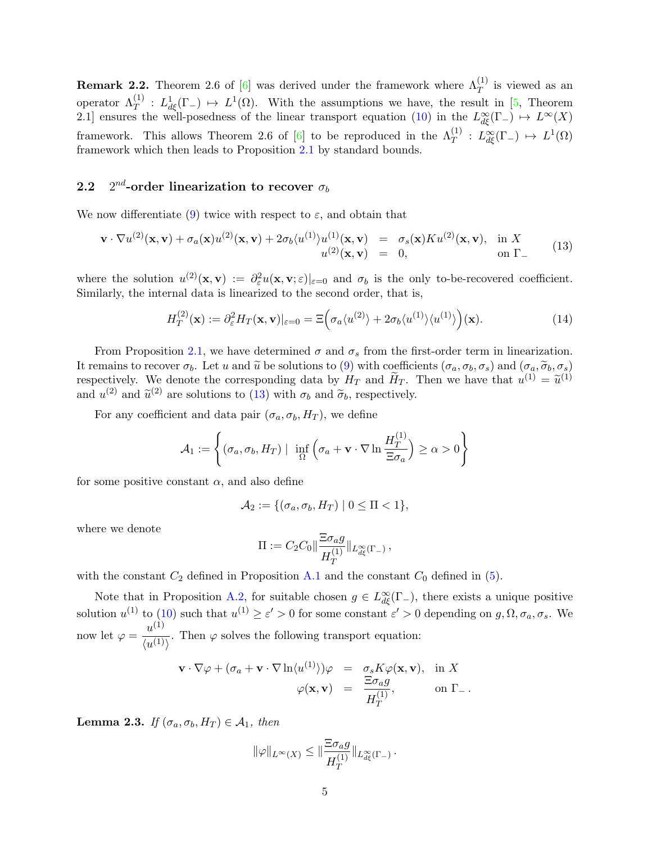**Remark 2.2.** Theorem 2.6 of [\[6\]](#page-20-1) was derived under the framework where  $\Lambda_T^{(1)}$  is viewed as an operator  $\Lambda_T^{(1)}$ :  $L^1_{d\xi}(\Gamma_-) \mapsto L^1(\Omega)$ . With the assumptions we have, the result in [\[5,](#page-20-5) Theorem 2.1] ensures the well-posedness of the linear transport equation [\(10\)](#page-3-1) in the  $L^{\infty}_{d\xi}(\Gamma_{-}) \mapsto L^{\infty}(X)$ framework. This allows Theorem 2.6 of [\[6\]](#page-20-1) to be reproduced in the  $\Lambda_T^{(1)}$  :  $L^{\infty}_{d\xi}(\Gamma_-) \mapsto L^1(\Omega)$ framework which then leads to Proposition [2.1](#page-3-2) by standard bounds.

#### 2.2 2  $2^{nd}$ -order linearization to recover  $\sigma_b$

We now differentiate [\(9\)](#page-3-0) twice with respect to  $\varepsilon$ , and obtain that

<span id="page-4-0"></span>
$$
\mathbf{v} \cdot \nabla u^{(2)}(\mathbf{x}, \mathbf{v}) + \sigma_a(\mathbf{x}) u^{(2)}(\mathbf{x}, \mathbf{v}) + 2\sigma_b \langle u^{(1)} \rangle u^{(1)}(\mathbf{x}, \mathbf{v}) = \sigma_s(\mathbf{x}) K u^{(2)}(\mathbf{x}, \mathbf{v}), \text{ in } X
$$
  
\n
$$
u^{(2)}(\mathbf{x}, \mathbf{v}) = 0, \text{ on } \Gamma_{-}
$$
\n(13)

where the solution  $u^{(2)}(\mathbf{x}, \mathbf{v}) := \partial_{\varepsilon}^2 u(\mathbf{x}, \mathbf{v}; \varepsilon)|_{\varepsilon=0}$  and  $\sigma_b$  is the only to-be-recovered coefficient. Similarly, the internal data is linearized to the second order, that is,

<span id="page-4-1"></span>
$$
H_T^{(2)}(\mathbf{x}) := \partial_{\varepsilon}^2 H_T(\mathbf{x}, \mathbf{v})|_{\varepsilon=0} = \Xi \Big( \sigma_a \langle u^{(2)} \rangle + 2 \sigma_b \langle u^{(1)} \rangle \langle u^{(1)} \rangle \Big) (\mathbf{x}). \tag{14}
$$

From Proposition [2.1,](#page-3-2) we have determined  $\sigma$  and  $\sigma_s$  from the first-order term in linearization. It remains to recover  $\sigma_b$ . Let u and  $\tilde{u}$  be solutions to [\(9\)](#page-3-0) with coefficients  $(\sigma_a, \sigma_b, \sigma_s)$  and  $(\sigma_a, \tilde{\sigma}_b, \sigma_s)$ respectively. We denote the corresponding data by  $H_T$  and  $\tilde{H}_T$ . Then we have that  $u^{(1)} = \tilde{u}^{(1)}$ and  $u^{(2)}$  and  $\tilde{u}^{(2)}$  are solutions to [\(13\)](#page-4-0) with  $\sigma_b$  and  $\tilde{\sigma}_b$ , respectively.

For any coefficient and data pair  $(\sigma_a, \sigma_b, H_T)$ , we define

$$
A_1 := \left\{ (\sigma_a, \sigma_b, H_T) \mid \inf_{\Omega} \left( \sigma_a + \mathbf{v} \cdot \nabla \ln \frac{H_T^{(1)}}{\Xi \sigma_a} \right) \ge \alpha > 0 \right\}
$$

for some positive constant  $\alpha$ , and also define

$$
\mathcal{A}_2 := \{ (\sigma_a, \sigma_b, H_T) \mid 0 \leq \Pi < 1 \},
$$

where we denote

$$
\Pi := C_2 C_0 \|\frac{\Xi \sigma_a g}{H_T^{(1)}}\|_{L^{\infty}_{d\xi}(\Gamma_-)},
$$

with the constant  $C_2$  defined in Proposition [A.1](#page-15-0) and the constant  $C_0$  defined in [\(5\)](#page-2-2).

Note that in Proposition [A.2,](#page-15-1) for suitable chosen  $g \in L^{\infty}_{d\xi}(\Gamma_{-})$ , there exists a unique positive solution  $u^{(1)}$  to [\(10\)](#page-3-1) such that  $u^{(1)} \ge \varepsilon' > 0$  for some constant  $\varepsilon' > 0$  depending on  $g, \Omega, \sigma_a, \sigma_s$ . We now let  $\varphi = \frac{u^{(1)}}{u^{(1)}}$  $\frac{d}{d(u^{(1)})}$ . Then  $\varphi$  solves the following transport equation:

$$
\mathbf{v} \cdot \nabla \varphi + (\sigma_a + \mathbf{v} \cdot \nabla \ln \langle u^{(1)} \rangle) \varphi = \sigma_s K \varphi(\mathbf{x}, \mathbf{v}), \text{ in } X
$$

$$
\varphi(\mathbf{x}, \mathbf{v}) = \frac{\Xi \sigma_a g}{H_T^{(1)}}, \text{ on } \Gamma_-.
$$

<span id="page-4-2"></span>**Lemma 2.3.** If  $(\sigma_a, \sigma_b, H_T) \in \mathcal{A}_1$ , then

$$
\|\varphi\|_{L^{\infty}(X)} \leq \|\frac{\Xi \sigma_a g}{H_T^{(1)}}\|_{L^{\infty}_{d\xi}(\Gamma_{-})}.
$$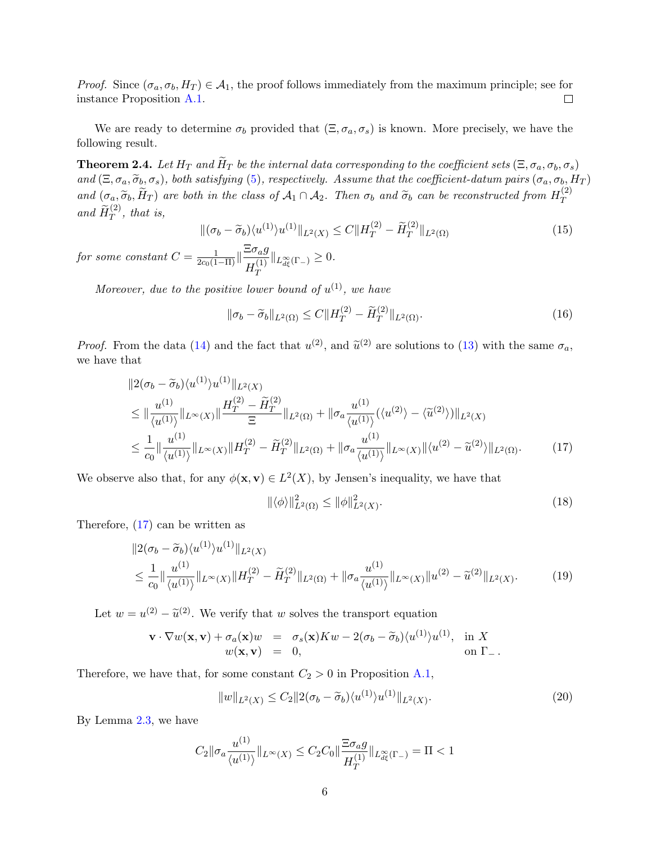*Proof.* Since  $(\sigma_a, \sigma_b, H_T) \in \mathcal{A}_1$ , the proof follows immediately from the maximum principle; see for instance Proposition [A.1.](#page-15-0)  $\Box$ 

We are ready to determine  $\sigma_b$  provided that  $(\Xi, \sigma_a, \sigma_s)$  is known. More precisely, we have the following result.

**Theorem 2.4.** Let  $H_T$  and  $\widetilde{H}_T$  be the internal data corresponding to the coefficient sets  $(\Xi, \sigma_a, \sigma_b, \sigma_s)$ and  $(\Xi, \sigma_a, \widetilde{\sigma}_b, \sigma_s)$ , both satisfying [\(5\)](#page-2-2), respectively. Assume that the coefficient-datum pairs  $(\sigma_a, \sigma_b, H_T)$ and  $(\sigma_a, \widetilde{\sigma}_b, \widetilde{H}_T)$  are both in the class of  $\mathcal{A}_1 \cap \mathcal{A}_2$ . Then  $\sigma_b$  and  $\widetilde{\sigma}_b$  can be reconstructed from  $H_T^{(2)}$ T and  $\widetilde{H}_T^{(2)}$ , that is,

$$
\|(\sigma_b - \widetilde{\sigma}_b)\langle u^{(1)}\rangle u^{(1)}\|_{L^2(X)} \le C \|H_T^{(2)} - \widetilde{H}_T^{(2)}\|_{L^2(\Omega)}\tag{15}
$$

for some constant  $C = \frac{1}{2c_0(1-\Pi)}\|\frac{\Xi\sigma_a g}{H^{(1)}}\|$  $H_T^{(1)}$ T  $||_{L^{\infty}_{d\xi}(\Gamma_{-})}\geq 0.$ 

Moreover, due to the positive lower bound of  $u^{(1)}$ , we have

$$
\|\sigma_b - \widetilde{\sigma}_b\|_{L^2(\Omega)} \le C \|H_T^{(2)} - \widetilde{H}_T^{(2)}\|_{L^2(\Omega)}.
$$
\n(16)

*Proof.* From the data [\(14\)](#page-4-1) and the fact that  $u^{(2)}$ , and  $\tilde{u}^{(2)}$  are solutions to [\(13\)](#page-4-0) with the same  $\sigma_a$ , we have that

$$
\|2(\sigma_b - \widetilde{\sigma}_b)\langle u^{(1)}\rangle u^{(1)}\|_{L^2(X)}
$$
\n
$$
\leq \|\frac{u^{(1)}}{\langle u^{(1)}\rangle}\|_{L^{\infty}(X)}\|\frac{H_T^{(2)} - \widetilde{H}_T^{(2)}}{\Xi}\|_{L^2(\Omega)} + \|\sigma_a \frac{u^{(1)}}{\langle u^{(1)}\rangle}(\langle u^{(2)}\rangle - \langle \widetilde{u}^{(2)}\rangle)\|_{L^2(X)}
$$
\n
$$
\leq \frac{1}{c_0} \|\frac{u^{(1)}}{\langle u^{(1)}\rangle}\|_{L^{\infty}(X)} \|H_T^{(2)} - \widetilde{H}_T^{(2)}\|_{L^2(\Omega)} + \|\sigma_a \frac{u^{(1)}}{\langle u^{(1)}\rangle}\|_{L^{\infty}(X)} \|\langle u^{(2)} - \widetilde{u}^{(2)}\rangle\|_{L^2(\Omega)}.\tag{17}
$$

We observe also that, for any  $\phi(\mathbf{x}, \mathbf{v}) \in L^2(X)$ , by Jensen's inequality, we have that

<span id="page-5-3"></span><span id="page-5-1"></span><span id="page-5-0"></span>
$$
\|\langle \phi \rangle\|_{L^2(\Omega)}^2 \le \|\phi\|_{L^2(X)}^2.
$$
\n(18)

Therefore, [\(17\)](#page-5-0) can be written as

$$
||2(\sigma_b - \widetilde{\sigma}_b)\langle u^{(1)}\rangle u^{(1)}||_{L^2(X)}
$$
  
\n
$$
\leq \frac{1}{c_0} ||\frac{u^{(1)}}{\langle u^{(1)}\rangle}||_{L^{\infty}(X)}||H_T^{(2)} - \widetilde{H}_T^{(2)}||_{L^2(\Omega)} + ||\sigma_a \frac{u^{(1)}}{\langle u^{(1)}\rangle}||_{L^{\infty}(X)}||u^{(2)} - \widetilde{u}^{(2)}||_{L^2(X)}.
$$
\n(19)

Let  $w = u^{(2)} - \tilde{u}^{(2)}$ . We verify that w solves the transport equation

$$
\mathbf{v} \cdot \nabla w(\mathbf{x}, \mathbf{v}) + \sigma_a(\mathbf{x})w = \sigma_s(\mathbf{x})Kw - 2(\sigma_b - \widetilde{\sigma}_b)\langle u^{(1)}\rangle u^{(1)}, \text{ in } X w(\mathbf{x}, \mathbf{v}) = 0, \text{ on } \Gamma_-.
$$

Therefore, we have that, for some constant  $C_2 > 0$  in Proposition [A.1,](#page-15-0)

<span id="page-5-2"></span>
$$
||w||_{L^{2}(X)} \leq C_{2}||2(\sigma_{b} - \tilde{\sigma}_{b})\langle u^{(1)}\rangle u^{(1)}||_{L^{2}(X)}.
$$
\n(20)

By Lemma [2.3,](#page-4-2) we have

$$
C_2 \|\sigma_a \frac{u^{(1)}}{\langle u^{(1)} \rangle} \|_{L^\infty(X)} \le C_2 C_0 \|\frac{\Xi \sigma_a g}{H_T^{(1)}} \|_{L^\infty_{d\xi}(\Gamma_-)} = \Pi < 1
$$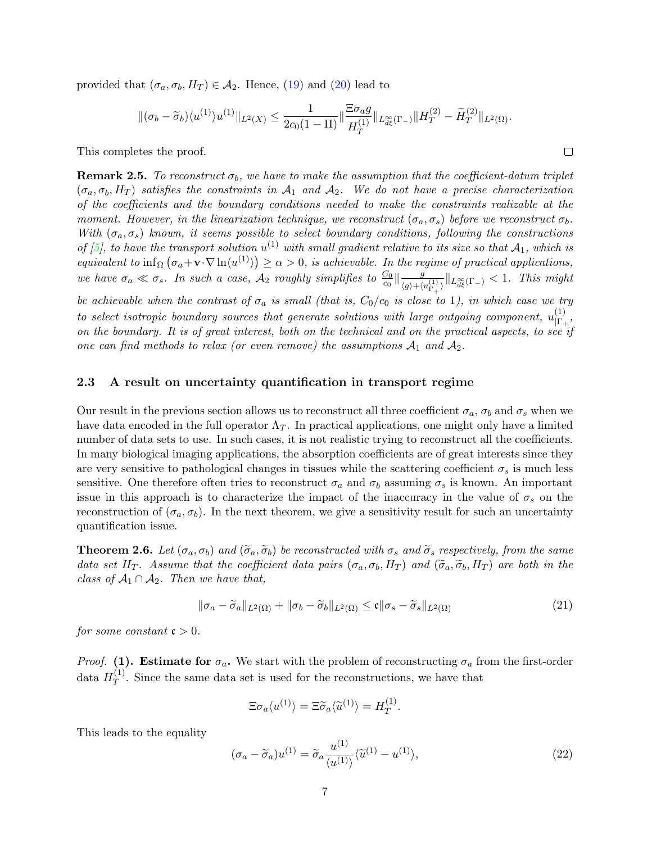provided that  $(\sigma_a, \sigma_b, H_T) \in \mathcal{A}_2$ . Hence, [\(19\)](#page-5-1) and [\(20\)](#page-5-2) lead to

$$
\|(\sigma_b-\widetilde{\sigma}_b)\langle u^{(1)}\rangle u^{(1)}\|_{L^2(X)}\leq \frac{1}{2c_0(1-\Pi)}\|\frac{\Xi\sigma_a g}{H_T^{(1)}}\|_{L^{\infty}_{d\xi}(\Gamma_-)}\|H_T^{(2)}-\widetilde{H}_T^{(2)}\|_{L^2(\Omega)}.
$$

 $\Box$ 

This completes the proof.

**Remark 2.5.** To reconstruct  $\sigma_b$ , we have to make the assumption that the coefficient-datum triplet  $(\sigma_a, \sigma_b, H_T)$  satisfies the constraints in  $\mathcal{A}_1$  and  $\mathcal{A}_2$ . We do not have a precise characterization of the coefficients and the boundary conditions needed to make the constraints realizable at the moment. However, in the linearization technique, we reconstruct  $(\sigma_a, \sigma_s)$  before we reconstruct  $\sigma_b$ . With  $(\sigma_a, \sigma_s)$  known, it seems possible to select boundary conditions, following the constructions of [\[5\]](#page-20-5), to have the transport solution  $u^{(1)}$  with small gradient relative to its size so that  $\mathcal{A}_1$ , which is equivalent to  $\inf_{\Omega} (\sigma_a + \mathbf{v} \cdot \nabla \ln \langle u^{(1)} \rangle) \geq \alpha > 0$ , is achievable. In the regime of practical applications, we have  $\sigma_a \ll \sigma_s$ . In such a case,  $\mathcal{A}_2$  roughly simplifies to  $\frac{C_0}{c_0}\Big\|\frac{g}{\sigma_a+\sigma_a}$  $\frac{g}{\langle g\rangle + \langle u_{\Gamma_+}^{(1)}\rangle} \|_{L^\infty_{d\xi}(\Gamma_-)} < 1.$  This might

be achievable when the contrast of  $\sigma_a$  is small (that is,  $C_0/c_0$  is close to 1), in which case we try to select isotropic boundary sources that generate solutions with large outgoing component,  $u_{\text{LP}}^{(1)}$  $\frac{(1)}{|\Gamma_+},$ on the boundary. It is of great interest, both on the technical and on the practical aspects, to see if one can find methods to relax (or even remove) the assumptions  $A_1$  and  $A_2$ .

#### 2.3 A result on uncertainty quantification in transport regime

Our result in the previous section allows us to reconstruct all three coefficient  $\sigma_a$ ,  $\sigma_b$  and  $\sigma_s$  when we have data encoded in the full operator  $\Lambda_T$ . In practical applications, one might only have a limited number of data sets to use. In such cases, it is not realistic trying to reconstruct all the coefficients. In many biological imaging applications, the absorption coefficients are of great interests since they are very sensitive to pathological changes in tissues while the scattering coefficient  $\sigma_s$  is much less sensitive. One therefore often tries to reconstruct  $\sigma_a$  and  $\sigma_b$  assuming  $\sigma_s$  is known. An important issue in this approach is to characterize the impact of the inaccuracy in the value of  $\sigma_s$  on the reconstruction of  $(\sigma_a, \sigma_b)$ . In the next theorem, we give a sensitivity result for such an uncertainty quantification issue.

<span id="page-6-0"></span>**Theorem 2.6.** Let  $(\sigma_a, \sigma_b)$  and  $(\widetilde{\sigma}_a, \widetilde{\sigma}_b)$  be reconstructed with  $\sigma_s$  and  $\widetilde{\sigma}_s$  respectively, from the same data set H<sub>T</sub>. Assume that the coefficient data pairs  $(\sigma_a, \sigma_b, H_T)$  and  $(\widetilde{\sigma}_a, \widetilde{\sigma}_b, H_T)$  are both in the class of  $A_1 \cap A_2$ . Then we have that,

<span id="page-6-1"></span>
$$
\|\sigma_a - \widetilde{\sigma}_a\|_{L^2(\Omega)} + \|\sigma_b - \widetilde{\sigma}_b\|_{L^2(\Omega)} \le \mathfrak{c} \|\sigma_s - \widetilde{\sigma}_s\|_{L^2(\Omega)}
$$
(21)

for some constant  $\mathfrak{c} > 0$ .

*Proof.* (1). Estimate for  $\sigma_a$ . We start with the problem of reconstructing  $\sigma_a$  from the first-order data  $H_T^{(1)}$  $T<sup>(1)</sup>$ . Since the same data set is used for the reconstructions, we have that

$$
\Xi \sigma_a \langle u^{(1)} \rangle = \Xi \widetilde{\sigma}_a \langle \widetilde{u}^{(1)} \rangle = H_T^{(1)}.
$$

This leads to the equality

$$
(\sigma_a - \widetilde{\sigma}_a)u^{(1)} = \widetilde{\sigma}_a \frac{u^{(1)}}{\langle u^{(1)} \rangle} \langle \widetilde{u}^{(1)} - u^{(1)} \rangle, \tag{22}
$$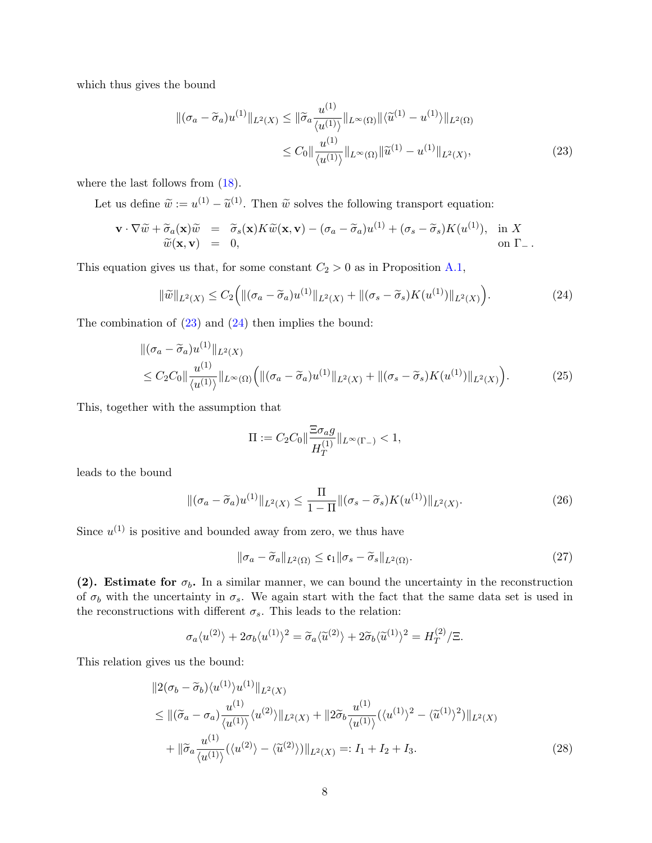which thus gives the bound

<span id="page-7-0"></span>
$$
\begin{split} \left\| (\sigma_a - \widetilde{\sigma}_a) u^{(1)} \right\|_{L^2(X)} &\leq \|\widetilde{\sigma}_a \frac{u^{(1)}}{\langle u^{(1)} \rangle} \left\|_{L^\infty(\Omega)} \right\| \langle \widetilde{u}^{(1)} - u^{(1)} \rangle \left\|_{L^2(\Omega)} \\ &\leq C_0 \|\frac{u^{(1)}}{\langle u^{(1)} \rangle} \left\|_{L^\infty(\Omega)} \|\widetilde{u}^{(1)} - u^{(1)} \right\|_{L^2(X)}, \end{split} \tag{23}
$$

where the last follows from [\(18\)](#page-5-3).

Let us define  $\tilde{w} := u^{(1)} - \tilde{u}^{(1)}$ . Then  $\tilde{w}$  solves the following transport equation:

$$
\mathbf{v} \cdot \nabla \widetilde{w} + \widetilde{\sigma}_a(\mathbf{x}) \widetilde{w} = \widetilde{\sigma}_s(\mathbf{x}) K \widetilde{w}(\mathbf{x}, \mathbf{v}) - (\sigma_a - \widetilde{\sigma}_a) u^{(1)} + (\sigma_s - \widetilde{\sigma}_s) K(u^{(1)}), \text{ in } X
$$
  
\n
$$
\widetilde{w}(\mathbf{x}, \mathbf{v}) = 0, \text{ on } \Gamma_-.
$$

This equation gives us that, for some constant  $C_2 > 0$  as in Proposition [A.1,](#page-15-0)

<span id="page-7-1"></span>
$$
\|\tilde{w}\|_{L^{2}(X)} \leq C_{2} \Big( \|(\sigma_{a} - \tilde{\sigma}_{a})u^{(1)}\|_{L^{2}(X)} + \|(\sigma_{s} - \tilde{\sigma}_{s})K(u^{(1)})\|_{L^{2}(X)} \Big). \tag{24}
$$

The combination of  $(23)$  and  $(24)$  then implies the bound:

$$
\|(\sigma_a - \tilde{\sigma}_a)u^{(1)}\|_{L^2(X)}
$$
  
\n
$$
\leq C_2 C_0 \|\frac{u^{(1)}}{\langle u^{(1)}\rangle}\|_{L^\infty(\Omega)} \Big( \|(\sigma_a - \tilde{\sigma}_a)u^{(1)}\|_{L^2(X)} + \|(\sigma_s - \tilde{\sigma}_s)K(u^{(1)})\|_{L^2(X)} \Big). \tag{25}
$$

This, together with the assumption that

$$
\Pi := C_2 C_0 \|\frac{\Xi \sigma_a g}{H_T^{(1)}}\|_{L^\infty(\Gamma_-)} < 1,
$$

leads to the bound

$$
\|(\sigma_a - \widetilde{\sigma}_a)u^{(1)}\|_{L^2(X)} \le \frac{\Pi}{1-\Pi} \|(\sigma_s - \widetilde{\sigma}_s)K(u^{(1)})\|_{L^2(X)}.
$$
\n(26)

Since  $u^{(1)}$  is positive and bounded away from zero, we thus have

<span id="page-7-3"></span><span id="page-7-2"></span>
$$
\|\sigma_a - \widetilde{\sigma}_a\|_{L^2(\Omega)} \le \mathfrak{c}_1 \|\sigma_s - \widetilde{\sigma}_s\|_{L^2(\Omega)}.
$$
\n(27)

(2). Estimate for  $\sigma_b$ . In a similar manner, we can bound the uncertainty in the reconstruction of  $\sigma_b$  with the uncertainty in  $\sigma_s$ . We again start with the fact that the same data set is used in the reconstructions with different  $\sigma_s$ . This leads to the relation:

$$
\sigma_a \langle u^{(2)} \rangle + 2 \sigma_b \langle u^{(1)} \rangle^2 = \tilde{\sigma}_a \langle \tilde{u}^{(2)} \rangle + 2 \tilde{\sigma}_b \langle \tilde{u}^{(1)} \rangle^2 = H_T^{(2)} / \Xi.
$$

This relation gives us the bound:

$$
||2(\sigma_b - \widetilde{\sigma}_b)\langle u^{(1)}\rangle u^{(1)}||_{L^2(X)}
$$
  
\n
$$
\leq ||(\widetilde{\sigma}_a - \sigma_a) \frac{u^{(1)}}{\langle u^{(1)}\rangle} \langle u^{(2)}\rangle||_{L^2(X)} + ||2\widetilde{\sigma}_b \frac{u^{(1)}}{\langle u^{(1)}\rangle} (\langle u^{(1)}\rangle^2 - \langle \widetilde{u}^{(1)}\rangle^2) ||_{L^2(X)}
$$
  
\n
$$
+ ||\widetilde{\sigma}_a \frac{u^{(1)}}{\langle u^{(1)}\rangle} (\langle u^{(2)}\rangle - \langle \widetilde{u}^{(2)}\rangle) ||_{L^2(X)} =: I_1 + I_2 + I_3.
$$
\n(28)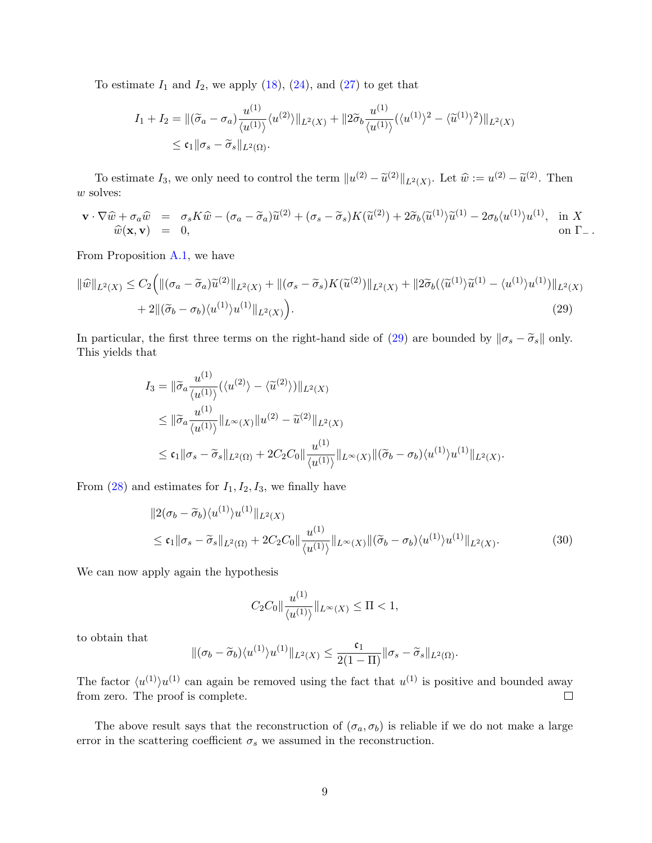To estimate  $I_1$  and  $I_2$ , we apply [\(18\)](#page-5-3), [\(24\)](#page-7-1), and [\(27\)](#page-7-2) to get that

$$
I_1 + I_2 = ||(\widetilde{\sigma}_a - \sigma_a) \frac{u^{(1)}}{\langle u^{(1)} \rangle} \langle u^{(2)} \rangle||_{L^2(X)} + ||2\widetilde{\sigma}_b \frac{u^{(1)}}{\langle u^{(1)} \rangle} (\langle u^{(1)} \rangle^2 - \langle \widetilde{u}^{(1)} \rangle^2) ||_{L^2(X)}
$$
  

$$
\leq \mathfrak{c}_1 ||\sigma_s - \widetilde{\sigma}_s ||_{L^2(\Omega)}.
$$

To estimate  $I_3$ , we only need to control the term  $||u^{(2)} - \tilde{u}^{(2)}||_{L^2(X)}$ . Let  $\hat{w} := u^{(2)} - \tilde{u}^{(2)}$ . Then  $\boldsymbol{w}$  solves:

$$
\mathbf{v} \cdot \nabla \widehat{w} + \sigma_a \widehat{w} = \sigma_s K \widehat{w} - (\sigma_a - \widetilde{\sigma}_a) \widetilde{u}^{(2)} + (\sigma_s - \widetilde{\sigma}_s) K(\widetilde{u}^{(2)}) + 2 \widetilde{\sigma}_b \langle \widetilde{u}^{(1)} \rangle \widetilde{u}^{(1)} - 2 \sigma_b \langle u^{(1)} \rangle u^{(1)}, \text{ in } X
$$
  
\n
$$
\widehat{w}(\mathbf{x}, \mathbf{v}) = 0, \qquad \text{on } \Gamma_-.
$$

From Proposition [A.1,](#page-15-0) we have

$$
\|\hat{w}\|_{L^{2}(X)} \leq C_{2} \Big( \|(\sigma_{a} - \widetilde{\sigma}_{a})\widetilde{u}^{(2)}\|_{L^{2}(X)} + \|(\sigma_{s} - \widetilde{\sigma}_{s})K(\widetilde{u}^{(2)})\|_{L^{2}(X)} + \|2\widetilde{\sigma}_{b}(\langle \widetilde{u}^{(1)}\rangle\widetilde{u}^{(1)} - \langle u^{(1)}\rangle u^{(1)})\|_{L^{2}(X)} + 2\|(\widetilde{\sigma}_{b} - \sigma_{b})\langle u^{(1)}\rangle u^{(1)}\|_{L^{2}(X)} \Big). \tag{29}
$$

In particular, the first three terms on the right-hand side of [\(29\)](#page-8-0) are bounded by  $\|\sigma_s - \tilde{\sigma}_s\|$  only. This yields that

<span id="page-8-0"></span>
$$
I_3 = \|\widetilde{\sigma}_a \frac{u^{(1)}}{\langle u^{(1)} \rangle} (\langle u^{(2)} \rangle - \langle \widetilde{u}^{(2)} \rangle) \|_{L^2(X)}
$$
  
\n
$$
\leq \|\widetilde{\sigma}_a \frac{u^{(1)}}{\langle u^{(1)} \rangle} \|_{L^{\infty}(X)} \|u^{(2)} - \widetilde{u}^{(2)}\|_{L^2(X)}
$$
  
\n
$$
\leq c_1 \|\sigma_s - \widetilde{\sigma}_s\|_{L^2(\Omega)} + 2C_2 C_0 \|\frac{u^{(1)}}{\langle u^{(1)} \rangle} \|_{L^{\infty}(X)} \|(\widetilde{\sigma}_b - \sigma_b) \langle u^{(1)} \rangle u^{(1)} \|_{L^2(X)}.
$$

From  $(28)$  and estimates for  $I_1, I_2, I_3$ , we finally have

$$
||2(\sigma_b - \widetilde{\sigma}_b) \langle u^{(1)} \rangle u^{(1)}||_{L^2(X)}
$$
  
\n
$$
\leq \mathfrak{c}_1 || \sigma_s - \widetilde{\sigma}_s ||_{L^2(\Omega)} + 2C_2 C_0 || \frac{u^{(1)}}{\langle u^{(1)} \rangle} ||_{L^\infty(X)} ||(\widetilde{\sigma}_b - \sigma_b) \langle u^{(1)} \rangle u^{(1)} ||_{L^2(X)}.
$$
\n(30)

We can now apply again the hypothesis

$$
C_2C_0 \|\frac{u^{(1)}}{\langle u^{(1)}\rangle}\|_{L^\infty(X)} \le \Pi < 1,
$$

to obtain that

$$
\|(\sigma_b-\widetilde{\sigma}_b)\langle u^{(1)}\rangle u^{(1)}\|_{L^2(X)}\leq \frac{\mathfrak{c}_1}{2(1-\Pi)}\|\sigma_s-\widetilde{\sigma}_s\|_{L^2(\Omega)}.
$$

The factor  $\langle u^{(1)} \rangle u^{(1)}$  can again be removed using the fact that  $u^{(1)}$  is positive and bounded away from zero. The proof is complete.  $\Box$ 

The above result says that the reconstruction of  $(\sigma_a, \sigma_b)$  is reliable if we do not make a large error in the scattering coefficient  $\sigma_s$  we assumed in the reconstruction.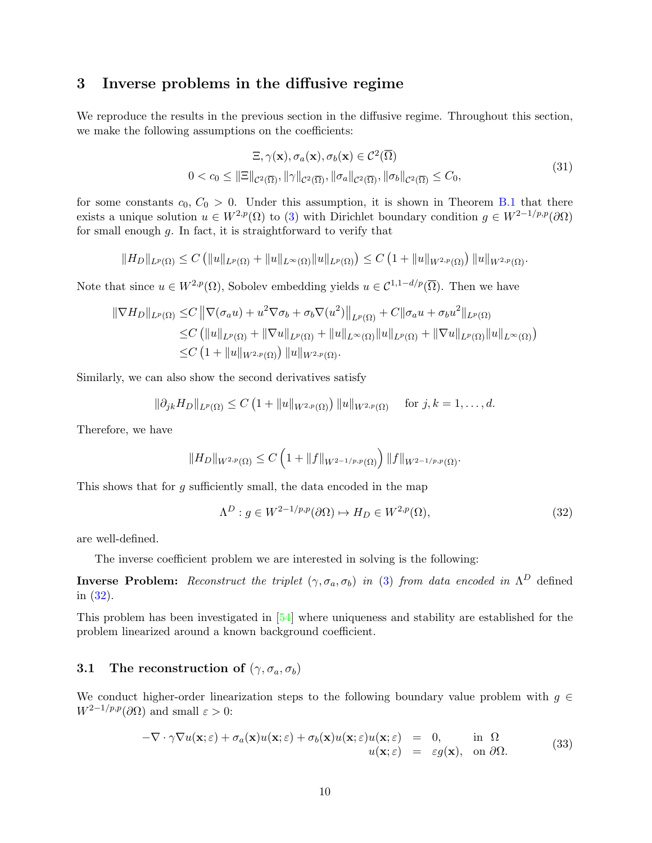### <span id="page-9-0"></span>3 Inverse problems in the diffusive regime

We reproduce the results in the previous section in the diffusive regime. Throughout this section, we make the following assumptions on the coefficients:

<span id="page-9-3"></span>
$$
\Xi, \gamma(\mathbf{x}), \sigma_a(\mathbf{x}), \sigma_b(\mathbf{x}) \in C^2(\overline{\Omega})
$$
\n
$$
0 < c_0 \leq \|\Xi\|_{C^2(\overline{\Omega})}, \|\gamma\|_{C^2(\overline{\Omega})}, \|\sigma_a\|_{C^2(\overline{\Omega})}, \|\sigma_b\|_{C^2(\overline{\Omega})} \leq C_0,\tag{31}
$$

for some constants  $c_0, C_0 > 0$ . Under this assumption, it is shown in Theorem [B.1](#page-18-0) that there exists a unique solution  $u \in W^{2,p}(\Omega)$  to [\(3\)](#page-1-1) with Dirichlet boundary condition  $g \in W^{2-1/p,p}(\partial\Omega)$ for small enough  $g$ . In fact, it is straightforward to verify that

$$
||H_D||_{L^p(\Omega)} \leq C \left( ||u||_{L^p(\Omega)} + ||u||_{L^{\infty}(\Omega)} ||u||_{L^p(\Omega)} \right) \leq C \left( 1 + ||u||_{W^{2,p}(\Omega)} \right) ||u||_{W^{2,p}(\Omega)}.
$$

Note that since  $u \in W^{2,p}(\Omega)$ , Sobolev embedding yields  $u \in C^{1,1-d/p}(\overline{\Omega})$ . Then we have

$$
\|\nabla H_D\|_{L^p(\Omega)} \le C \|\nabla(\sigma_a u) + u^2 \nabla \sigma_b + \sigma_b \nabla(u^2)\|_{L^p(\Omega)} + C \|\sigma_a u + \sigma_b u^2\|_{L^p(\Omega)}\n\le C \left( \|u\|_{L^p(\Omega)} + \|\nabla u\|_{L^p(\Omega)} + \|u\|_{L^\infty(\Omega)} \|u\|_{L^p(\Omega)} + \|\nabla u\|_{L^p(\Omega)} \|u\|_{L^\infty(\Omega)} \right)\n\le C \left( 1 + \|u\|_{W^{2,p}(\Omega)} \right) \|u\|_{W^{2,p}(\Omega)}.
$$

Similarly, we can also show the second derivatives satisfy

$$
\|\partial_{jk} H_D\|_{L^p(\Omega)} \le C \left(1 + \|u\|_{W^{2,p}(\Omega)}\right) \|u\|_{W^{2,p}(\Omega)} \quad \text{ for } j,k = 1,\ldots,d.
$$

Therefore, we have

$$
||H_D||_{W^{2,p}(\Omega)} \leq C \left(1 + ||f||_{W^{2-1/p,p}(\Omega)}\right) ||f||_{W^{2-1/p,p}(\Omega)}.
$$

This shows that for  $g$  sufficiently small, the data encoded in the map

<span id="page-9-2"></span><span id="page-9-1"></span>
$$
\Lambda^{D}: g \in W^{2-1/p,p}(\partial \Omega) \mapsto H_{D} \in W^{2,p}(\Omega), \tag{32}
$$

are well-defined.

The inverse coefficient problem we are interested in solving is the following:

**Inverse Problem:** Reconstruct the triplet  $(\gamma, \sigma_a, \sigma_b)$  in [\(3\)](#page-1-1) from data encoded in  $\Lambda^D$  defined in [\(32\)](#page-9-1).

This problem has been investigated in [\[54\]](#page-23-7) where uniqueness and stability are established for the problem linearized around a known background coefficient.

## 3.1 The reconstruction of  $(\gamma, \sigma_a, \sigma_b)$

We conduct higher-order linearization steps to the following boundary value problem with  $g \in$  $W^{2-1/p,p}(\partial\Omega)$  and small  $\varepsilon > 0$ :

$$
-\nabla \cdot \gamma \nabla u(\mathbf{x}; \varepsilon) + \sigma_a(\mathbf{x}) u(\mathbf{x}; \varepsilon) + \sigma_b(\mathbf{x}) u(\mathbf{x}; \varepsilon) u(\mathbf{x}; \varepsilon) = 0, \quad \text{in } \Omega
$$
  
 
$$
u(\mathbf{x}; \varepsilon) = \varepsilon g(\mathbf{x}), \quad \text{on } \partial \Omega.
$$
 (33)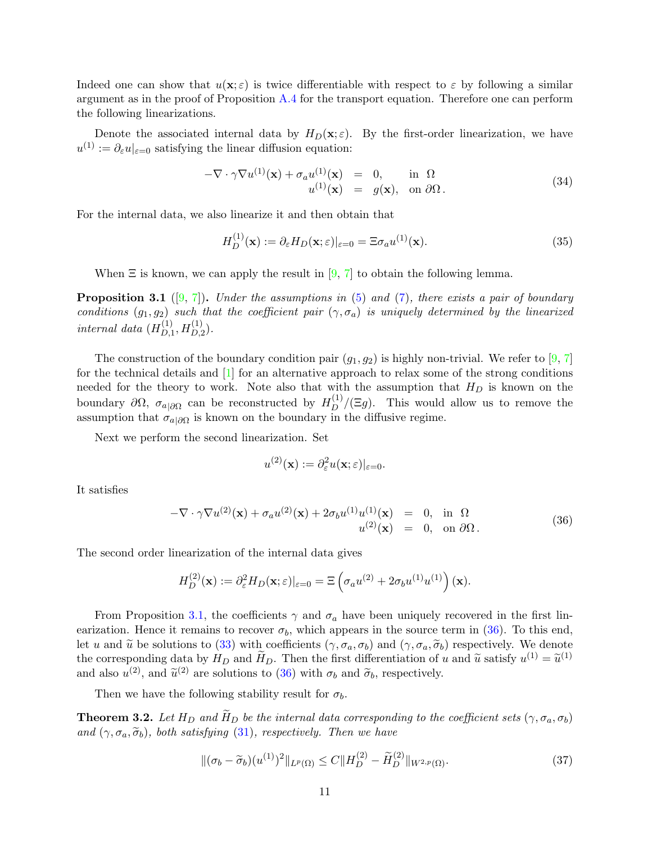Indeed one can show that  $u(\mathbf{x}; \varepsilon)$  is twice differentiable with respect to  $\varepsilon$  by following a similar argument as in the proof of Proposition [A.4](#page-17-0) for the transport equation. Therefore one can perform the following linearizations.

Denote the associated internal data by  $H_D(\mathbf{x}; \varepsilon)$ . By the first-order linearization, we have  $u^{(1)} := \partial_{\varepsilon} u|_{\varepsilon=0}$  satisfying the linear diffusion equation:

$$
-\nabla \cdot \gamma \nabla u^{(1)}(\mathbf{x}) + \sigma_a u^{(1)}(\mathbf{x}) = 0, \quad \text{in } \Omega
$$
  

$$
u^{(1)}(\mathbf{x}) = g(\mathbf{x}), \quad \text{on } \partial\Omega.
$$
 (34)

For the internal data, we also linearize it and then obtain that

$$
H_D^{(1)}(\mathbf{x}) := \partial_{\varepsilon} H_D(\mathbf{x}; \varepsilon)|_{\varepsilon=0} = \Xi \sigma_a u^{(1)}(\mathbf{x}). \tag{35}
$$

When  $\Xi$  is known, we can apply the result in [\[9,](#page-21-1) [7\]](#page-20-6) to obtain the following lemma.

<span id="page-10-0"></span>**Proposition 3.1** ([\[9,](#page-21-1) [7\]](#page-20-6)). Under the assumptions in [\(5\)](#page-2-2) and [\(7\)](#page-2-4), there exists a pair of boundary conditions  $(g_1, g_2)$  such that the coefficient pair  $(\gamma, \sigma_a)$  is uniquely determined by the linearized internal data  $(H_D^{(1)})$  $L_{D,1}^{(1)}, H_{D,2}^{(1)}$ .

The construction of the boundary condition pair  $(g_1, g_2)$  is highly non-trivial. We refer to [\[9,](#page-21-1) [7\]](#page-20-6) for the technical details and [\[1\]](#page-20-7) for an alternative approach to relax some of the strong conditions needed for the theory to work. Note also that with the assumption that  $H_D$  is known on the boundary  $\partial\Omega$ ,  $\sigma_{a|\partial\Omega}$  can be reconstructed by  $H_D^{(1)}/(\Xi g)$ . This would allow us to remove the assumption that  $\sigma_{a|\partial\Omega}$  is known on the boundary in the diffusive regime.

Next we perform the second linearization. Set

<span id="page-10-1"></span>
$$
u^{(2)}(\mathbf{x}) := \partial_{\varepsilon}^2 u(\mathbf{x}; \varepsilon)|_{\varepsilon = 0}.
$$

It satisfies

$$
-\nabla \cdot \gamma \nabla u^{(2)}(\mathbf{x}) + \sigma_a u^{(2)}(\mathbf{x}) + 2\sigma_b u^{(1)} u^{(1)}(\mathbf{x}) = 0, \text{ in } \Omega
$$
  

$$
u^{(2)}(\mathbf{x}) = 0, \text{ on } \partial\Omega.
$$
 (36)

The second order linearization of the internal data gives

$$
H_D^{(2)}(\mathbf{x}) := \partial_{\varepsilon}^2 H_D(\mathbf{x}; \varepsilon)|_{\varepsilon=0} = \Xi \left( \sigma_a u^{(2)} + 2 \sigma_b u^{(1)} u^{(1)} \right)(\mathbf{x}).
$$

From Proposition [3.1,](#page-10-0) the coefficients  $\gamma$  and  $\sigma_a$  have been uniquely recovered in the first linearization. Hence it remains to recover  $\sigma_b$ , which appears in the source term in [\(36\)](#page-10-1). To this end, let u and  $\tilde{u}$  be solutions to [\(33\)](#page-9-2) with coefficients  $(\gamma, \sigma_a, \sigma_b)$  and  $(\gamma, \sigma_a, \tilde{\sigma}_b)$  respectively. We denote the corresponding data by  $H_D$  and  $\widetilde{H}_D$ . Then the first differentiation of u and  $\widetilde{u}$  satisfy  $u^{(1)} = \widetilde{u}^{(1)}$ and also  $u^{(2)}$ , and  $\tilde{u}^{(2)}$  are solutions to [\(36\)](#page-10-1) with  $\sigma_b$  and  $\tilde{\sigma}_b$ , respectively.

Then we have the following stability result for  $\sigma_b$ .

**Theorem 3.2.** Let  $H_D$  and  $\widetilde{H}_D$  be the internal data corresponding to the coefficient sets  $(\gamma, \sigma_a, \sigma_b)$ and  $(\gamma, \sigma_a, \widetilde{\sigma}_b)$ , both satisfying [\(31\)](#page-9-3), respectively. Then we have

<span id="page-10-2"></span>
$$
\|(\sigma_b - \widetilde{\sigma}_b)(u^{(1)})^2\|_{L^p(\Omega)} \le C \|H_D^{(2)} - \widetilde{H}_D^{(2)}\|_{W^{2,p}(\Omega)}.
$$
\n(37)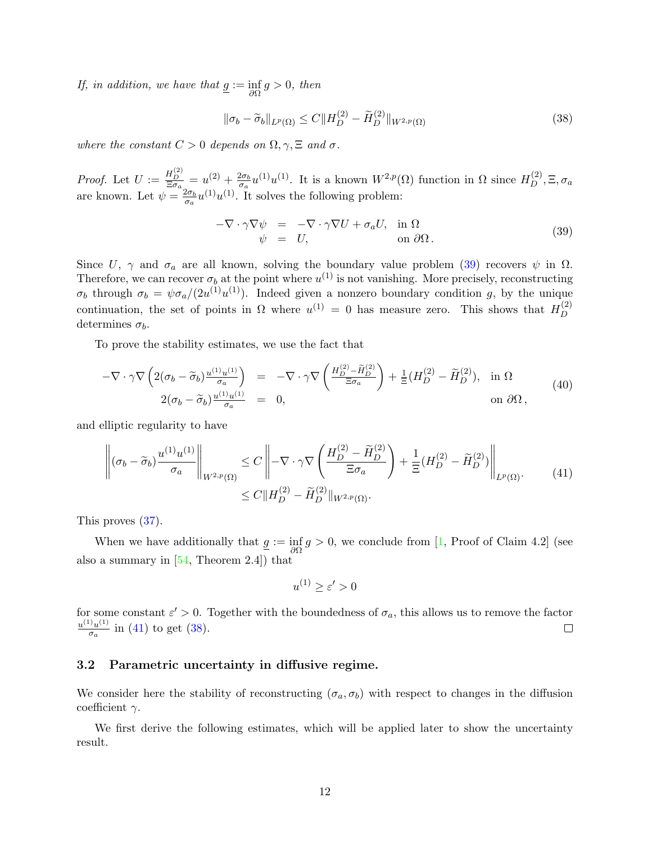*If, in addition, we have that*  $\underline{g} := \inf_{\partial \Omega} g > 0$ , then

<span id="page-11-2"></span>
$$
\|\sigma_b - \widetilde{\sigma}_b\|_{L^p(\Omega)} \le C \|H_D^{(2)} - \widetilde{H}_D^{(2)}\|_{W^{2,p}(\Omega)}
$$
\n(38)

where the constant  $C > 0$  depends on  $\Omega, \gamma, \Xi$  and  $\sigma$ .

*Proof.* Let  $U := \frac{H_D^{(2)}}{\Xi \sigma_a} = u^{(2)} + \frac{2\sigma_b}{\sigma_a}$  $\frac{2\sigma_b}{\sigma_a}u^{(1)}u^{(1)}$ . It is a known  $W^{2,p}(\Omega)$  function in  $\Omega$  since  $H_D^{(2)}$ ,  $\Xi$ ,  $\sigma_a$ are known. Let  $\psi = \frac{2\sigma_b}{\sigma}$  $\frac{2\sigma_b}{\sigma_a}u^{(1)}u^{(1)}$ . It solves the following problem:

<span id="page-11-0"></span>
$$
-\nabla \cdot \gamma \nabla \psi = -\nabla \cdot \gamma \nabla U + \sigma_a U, \text{ in } \Omega \n\psi = U, \text{ on } \partial \Omega.
$$
\n(39)

Since U,  $\gamma$  and  $\sigma_a$  are all known, solving the boundary value problem [\(39\)](#page-11-0) recovers  $\psi$  in  $\Omega$ . Therefore, we can recover  $\sigma_b$  at the point where  $u^{(1)}$  is not vanishing. More precisely, reconstructing  $\sigma_b$  through  $\sigma_b = \psi \sigma_a/(2u^{(1)}u^{(1)})$ . Indeed given a nonzero boundary condition g, by the unique continuation, the set of points in  $\Omega$  where  $u^{(1)} = 0$  has measure zero. This shows that  $H_D^{(2)}$ D determines  $\sigma_b$ .

To prove the stability estimates, we use the fact that

$$
-\nabla \cdot \gamma \nabla \left(2(\sigma_b - \widetilde{\sigma}_b) \frac{u^{(1)} u^{(1)}}{\sigma_a}\right) = -\nabla \cdot \gamma \nabla \left(\frac{H_D^{(2)} - \widetilde{H}_D^{(2)}}{\Xi \sigma_a}\right) + \frac{1}{\Xi} (H_D^{(2)} - \widetilde{H}_D^{(2)}), \text{ in } \Omega
$$
  
2(\sigma\_b - \widetilde{\sigma}\_b) \frac{u^{(1)} u^{(1)}}{\sigma\_a} = 0, \qquad \text{on } \partial \Omega,

and elliptic regularity to have

$$
\left\| (\sigma_b - \widetilde{\sigma}_b) \frac{u^{(1)} u^{(1)}}{\sigma_a} \right\|_{W^{2,p}(\Omega)} \le C \left\| - \nabla \cdot \gamma \nabla \left( \frac{H_D^{(2)} - \widetilde{H}_D^{(2)}}{\Xi \sigma_a} \right) + \frac{1}{\Xi} (H_D^{(2)} - \widetilde{H}_D^{(2)}) \right\|_{L^p(\Omega)}.
$$
\n
$$
\le C \| H_D^{(2)} - \widetilde{H}_D^{(2)} \|_{W^{2,p}(\Omega)}.
$$
\n
$$
(41)
$$

This proves [\(37\)](#page-10-2).

When we have additionally that  $g := \inf_{\partial \Omega} g > 0$ , we conclude from [\[1,](#page-20-7) Proof of Claim 4.2] (see also a summary in  $[54,$  Theorem 2.4]) that

<span id="page-11-1"></span>
$$
u^{(1)} \ge \varepsilon' > 0
$$

for some constant  $\varepsilon' > 0$ . Together with the boundedness of  $\sigma_a$ , this allows us to remove the factor  $u^{(1)}u^{(1)}$  $rac{J_{u^{(1)}}}{\sigma_a}$  in [\(41\)](#page-11-1) to get [\(38\)](#page-11-2).  $\Box$ 

#### 3.2 Parametric uncertainty in diffusive regime.

We consider here the stability of reconstructing  $(\sigma_a, \sigma_b)$  with respect to changes in the diffusion coefficient  $\gamma$ .

We first derive the following estimates, which will be applied later to show the uncertainty result.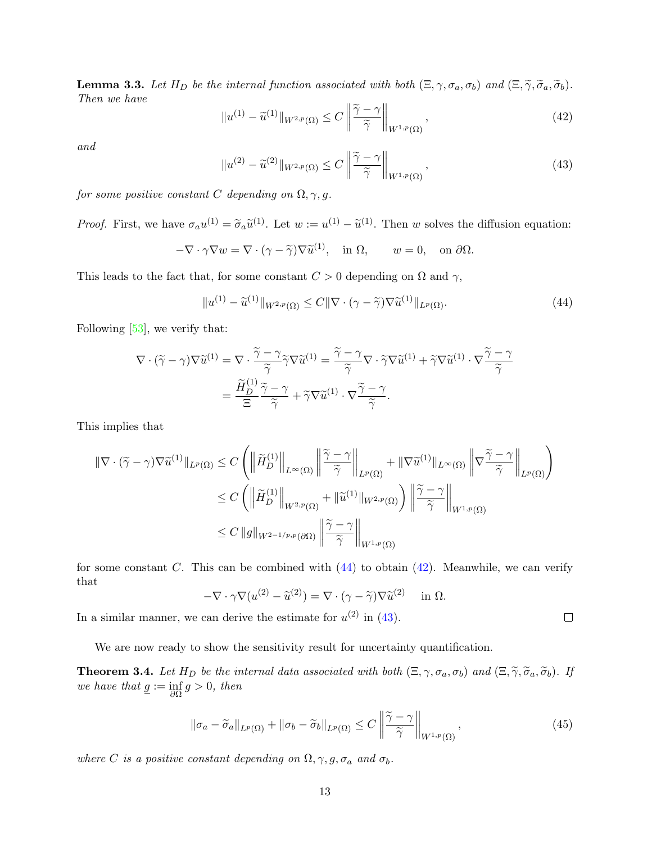<span id="page-12-3"></span>**Lemma 3.3.** Let  $H_D$  be the internal function associated with both  $(\Xi, \gamma, \sigma_a, \sigma_b)$  and  $(\Xi, \widetilde{\gamma}, \widetilde{\sigma}_a, \widetilde{\sigma}_b)$ . Then we have

<span id="page-12-1"></span>
$$
||u^{(1)} - \widetilde{u}^{(1)}||_{W^{2,p}(\Omega)} \le C \left\|\frac{\widetilde{\gamma} - \gamma}{\widetilde{\gamma}}\right\|_{W^{1,p}(\Omega)},
$$
\n(42)

and

<span id="page-12-2"></span>
$$
||u^{(2)} - \widetilde{u}^{(2)}||_{W^{2,p}(\Omega)} \le C \left\|\frac{\widetilde{\gamma} - \gamma}{\widetilde{\gamma}}\right\|_{W^{1,p}(\Omega)},
$$
\n(43)

for some positive constant C depending on  $\Omega$ ,  $\gamma$ , g.

*Proof.* First, we have  $\sigma_a u^{(1)} = \tilde{\sigma}_a \tilde{u}^{(1)}$ . Let  $w := u^{(1)} - \tilde{u}^{(1)}$ . Then w solves the diffusion equation:

$$
-\nabla \cdot \gamma \nabla w = \nabla \cdot (\gamma - \widetilde{\gamma}) \nabla \widetilde{u}^{(1)}, \quad \text{in } \Omega, \qquad w = 0, \quad \text{on } \partial \Omega.
$$

This leads to the fact that, for some constant  $C > 0$  depending on  $\Omega$  and  $\gamma$ ,

<span id="page-12-0"></span>
$$
||u^{(1)} - \widetilde{u}^{(1)}||_{W^{2,p}(\Omega)} \le C||\nabla \cdot (\gamma - \widetilde{\gamma})\nabla \widetilde{u}^{(1)}||_{L^p(\Omega)}.
$$
\n(44)

Following [\[53\]](#page-23-16), we verify that:

$$
\nabla \cdot (\widetilde{\gamma} - \gamma) \nabla \widetilde{u}^{(1)} = \nabla \cdot \frac{\widetilde{\gamma} - \gamma}{\widetilde{\gamma}} \widetilde{\gamma} \nabla \widetilde{u}^{(1)} = \frac{\widetilde{\gamma} - \gamma}{\widetilde{\gamma}} \nabla \cdot \widetilde{\gamma} \nabla \widetilde{u}^{(1)} + \widetilde{\gamma} \nabla \widetilde{u}^{(1)} \cdot \nabla \frac{\widetilde{\gamma} - \gamma}{\widetilde{\gamma}}
$$
\n
$$
= \frac{\widetilde{H}_{D}^{(1)}}{\Xi} \frac{\widetilde{\gamma} - \gamma}{\widetilde{\gamma}} + \widetilde{\gamma} \nabla \widetilde{u}^{(1)} \cdot \nabla \frac{\widetilde{\gamma} - \gamma}{\widetilde{\gamma}}.
$$

This implies that

$$
\begin{split} \|\nabla \cdot (\widetilde{\gamma} - \gamma) \nabla \widetilde{u}^{(1)}\|_{L^{p}(\Omega)} &\leq C \left( \left\|\widetilde{H}_{D}^{(1)}\right\|_{L^{\infty}(\Omega)} \left\|\frac{\widetilde{\gamma} - \gamma}{\widetilde{\gamma}}\right\|_{L^{p}(\Omega)} + \|\nabla \widetilde{u}^{(1)}\|_{L^{\infty}(\Omega)} \left\|\nabla \frac{\widetilde{\gamma} - \gamma}{\widetilde{\gamma}}\right\|_{L^{p}(\Omega)} \right) \\ &\leq C \left( \left\|\widetilde{H}_{D}^{(1)}\right\|_{W^{2,p}(\Omega)} + \|\widetilde{u}^{(1)}\|_{W^{2,p}(\Omega)} \right) \left\|\frac{\widetilde{\gamma} - \gamma}{\widetilde{\gamma}}\right\|_{W^{1,p}(\Omega)} \\ &\leq C \left\|g\right\|_{W^{2-1/p,p}(\partial\Omega)} \left\|\frac{\widetilde{\gamma} - \gamma}{\widetilde{\gamma}}\right\|_{W^{1,p}(\Omega)} \end{split}
$$

for some constant C. This can be combined with  $(44)$  to obtain  $(42)$ . Meanwhile, we can verify that

$$
-\nabla \cdot \gamma \nabla (u^{(2)} - \tilde{u}^{(2)}) = \nabla \cdot (\gamma - \tilde{\gamma}) \nabla \tilde{u}^{(2)} \quad \text{in } \Omega.
$$

In a similar manner, we can derive the estimate for  $u^{(2)}$  in [\(43\)](#page-12-2).

We are now ready to show the sensitivity result for uncertainty quantification.

<span id="page-12-5"></span>**Theorem 3.4.** Let  $H_D$  be the internal data associated with both  $(\Xi, \gamma, \sigma_a, \sigma_b)$  and  $(\Xi, \widetilde{\gamma}, \widetilde{\sigma}_a, \widetilde{\sigma}_b)$ . If we have that  $\underline{g} := \inf_{\partial \Omega} g > 0$ , then

<span id="page-12-4"></span>
$$
\left\|\sigma_a - \widetilde{\sigma}_a\right\|_{L^p(\Omega)} + \left\|\sigma_b - \widetilde{\sigma}_b\right\|_{L^p(\Omega)} \le C \left\|\frac{\widetilde{\gamma} - \gamma}{\widetilde{\gamma}}\right\|_{W^{1,p}(\Omega)},\tag{45}
$$

where C is a positive constant depending on  $\Omega$ ,  $\gamma$ ,  $g$ ,  $\sigma_a$  and  $\sigma_b$ .

 $\Box$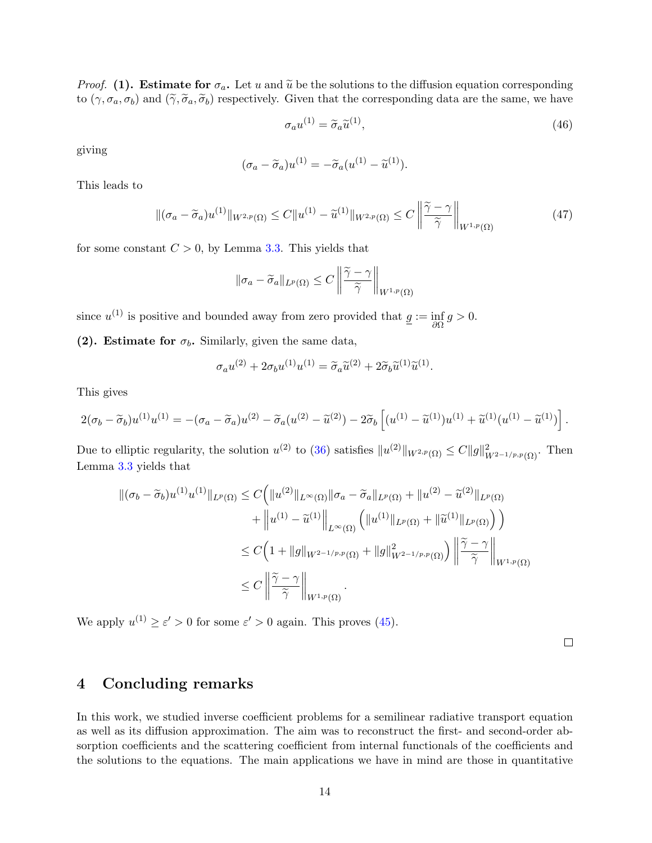*Proof.* (1). Estimate for  $\sigma_a$ . Let u and  $\tilde{u}$  be the solutions to the diffusion equation corresponding to  $(\gamma, \sigma_a, \sigma_b)$  and  $(\widetilde{\gamma}, \widetilde{\sigma}_a, \widetilde{\sigma}_b)$  respectively. Given that the corresponding data are the same, we have

$$
\sigma_a u^{(1)} = \tilde{\sigma}_a \tilde{u}^{(1)},\tag{46}
$$

giving

$$
(\sigma_a - \widetilde{\sigma}_a)u^{(1)} = -\widetilde{\sigma}_a(u^{(1)} - \widetilde{u}^{(1)}).
$$

This leads to

$$
\|(\sigma_a - \widetilde{\sigma}_a)u^{(1)}\|_{W^{2,p}(\Omega)} \le C \|u^{(1)} - \widetilde{u}^{(1)}\|_{W^{2,p}(\Omega)} \le C \left\|\frac{\widetilde{\gamma} - \gamma}{\widetilde{\gamma}}\right\|_{W^{1,p}(\Omega)}\tag{47}
$$

for some constant  $C > 0$ , by Lemma [3.3.](#page-12-3) This yields that

$$
\|\sigma_a - \widetilde{\sigma}_a\|_{L^p(\Omega)} \le C \left\|\frac{\widetilde{\gamma} - \gamma}{\widetilde{\gamma}}\right\|_{W^{1,p}(\Omega)}
$$

since  $u^{(1)}$  is positive and bounded away from zero provided that  $g := \inf_{\partial \Omega} g > 0$ .

(2). Estimate for  $\sigma_b$ . Similarly, given the same data,

$$
\sigma_a u^{(2)} + 2\sigma_b u^{(1)} u^{(1)} = \widetilde{\sigma}_a \widetilde{u}^{(2)} + 2\widetilde{\sigma}_b \widetilde{u}^{(1)} \widetilde{u}^{(1)}.
$$

This gives

$$
2(\sigma_b - \widetilde{\sigma}_b)u^{(1)}u^{(1)} = -(\sigma_a - \widetilde{\sigma}_a)u^{(2)} - \widetilde{\sigma}_a(u^{(2)} - \widetilde{u}^{(2)}) - 2\widetilde{\sigma}_b\left[ (u^{(1)} - \widetilde{u}^{(1)})u^{(1)} + \widetilde{u}^{(1)}(u^{(1)} - \widetilde{u}^{(1)}) \right].
$$

Due to elliptic regularity, the solution  $u^{(2)}$  to [\(36\)](#page-10-1) satisfies  $||u^{(2)}||_{W^{2,p}(\Omega)} \leq C ||g||^2_{W^{2-1/p,p}(\Omega)}$ . Then Lemma [3.3](#page-12-3) yields that

$$
\begin{split} \left\| (\sigma_b - \widetilde{\sigma}_b) u^{(1)} u^{(1)} \right\|_{L^p(\Omega)} &\leq C \Big( \| u^{(2)} \|_{L^\infty(\Omega)} \| \sigma_a - \widetilde{\sigma}_a \|_{L^p(\Omega)} + \| u^{(2)} - \widetilde{u}^{(2)} \|_{L^p(\Omega)} \\ &+ \left\| u^{(1)} - \widetilde{u}^{(1)} \right\|_{L^\infty(\Omega)} \Big( \| u^{(1)} \|_{L^p(\Omega)} + \| \widetilde{u}^{(1)} \|_{L^p(\Omega)} \Big) \Big) \\ &\leq C \Big( 1 + \| g \|_{W^{2-1/p, p}(\Omega)} + \| g \|_{W^{2-1/p, p}(\Omega)}^2 \Big) \left\| \frac{\widetilde{\gamma} - \gamma}{\widetilde{\gamma}} \right\|_{W^{1, p}(\Omega)} \\ &\leq C \left\| \frac{\widetilde{\gamma} - \gamma}{\widetilde{\gamma}} \right\|_{W^{1, p}(\Omega)}. \end{split}
$$

We apply  $u^{(1)} \ge \varepsilon' > 0$  for some  $\varepsilon' > 0$  again. This proves [\(45\)](#page-12-4).

 $\Box$ 

## <span id="page-13-0"></span>4 Concluding remarks

In this work, we studied inverse coefficient problems for a semilinear radiative transport equation as well as its diffusion approximation. The aim was to reconstruct the first- and second-order absorption coefficients and the scattering coefficient from internal functionals of the coefficients and the solutions to the equations. The main applications we have in mind are those in quantitative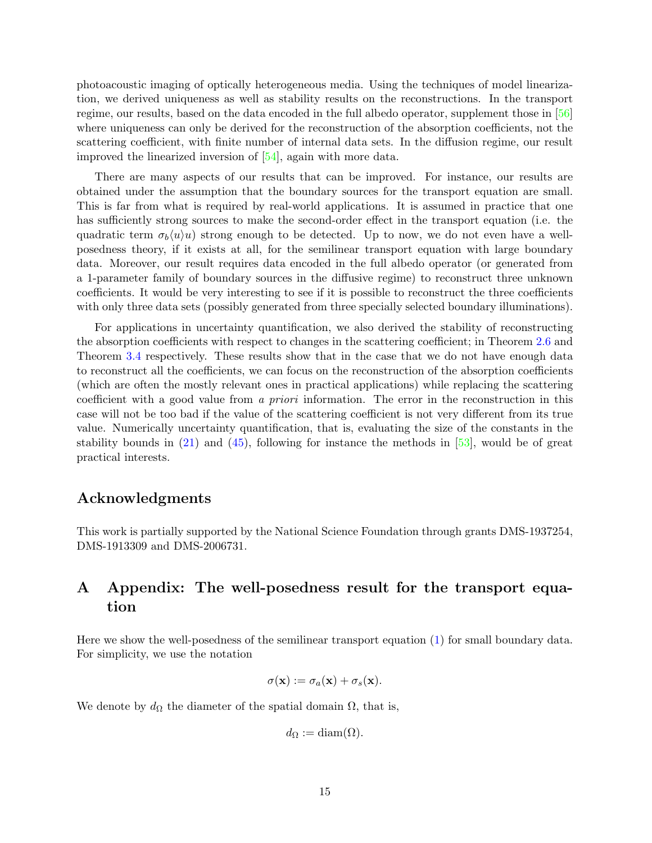photoacoustic imaging of optically heterogeneous media. Using the techniques of model linearization, we derived uniqueness as well as stability results on the reconstructions. In the transport regime, our results, based on the data encoded in the full albedo operator, supplement those in [\[56\]](#page-23-0) where uniqueness can only be derived for the reconstruction of the absorption coefficients, not the scattering coefficient, with finite number of internal data sets. In the diffusion regime, our result improved the linearized inversion of [\[54\]](#page-23-7), again with more data.

There are many aspects of our results that can be improved. For instance, our results are obtained under the assumption that the boundary sources for the transport equation are small. This is far from what is required by real-world applications. It is assumed in practice that one has sufficiently strong sources to make the second-order effect in the transport equation (i.e. the quadratic term  $\sigma_b(u)u$  strong enough to be detected. Up to now, we do not even have a wellposedness theory, if it exists at all, for the semilinear transport equation with large boundary data. Moreover, our result requires data encoded in the full albedo operator (or generated from a 1-parameter family of boundary sources in the diffusive regime) to reconstruct three unknown coefficients. It would be very interesting to see if it is possible to reconstruct the three coefficients with only three data sets (possibly generated from three specially selected boundary illuminations).

For applications in uncertainty quantification, we also derived the stability of reconstructing the absorption coefficients with respect to changes in the scattering coefficient; in Theorem [2.6](#page-6-0) and Theorem [3.4](#page-12-5) respectively. These results show that in the case that we do not have enough data to reconstruct all the coefficients, we can focus on the reconstruction of the absorption coefficients (which are often the mostly relevant ones in practical applications) while replacing the scattering coefficient with a good value from a priori information. The error in the reconstruction in this case will not be too bad if the value of the scattering coefficient is not very different from its true value. Numerically uncertainty quantification, that is, evaluating the size of the constants in the stability bounds in  $(21)$  and  $(45)$ , following for instance the methods in  $[53]$ , would be of great practical interests.

#### Acknowledgments

This work is partially supported by the National Science Foundation through grants DMS-1937254, DMS-1913309 and DMS-2006731.

## A Appendix: The well-posedness result for the transport equation

Here we show the well-posedness of the semilinear transport equation [\(1\)](#page-0-0) for small boundary data. For simplicity, we use the notation

$$
\sigma(\mathbf{x}) := \sigma_a(\mathbf{x}) + \sigma_s(\mathbf{x}).
$$

We denote by  $d_{\Omega}$  the diameter of the spatial domain  $\Omega$ , that is,

$$
d_{\Omega} := \text{diam}(\Omega).
$$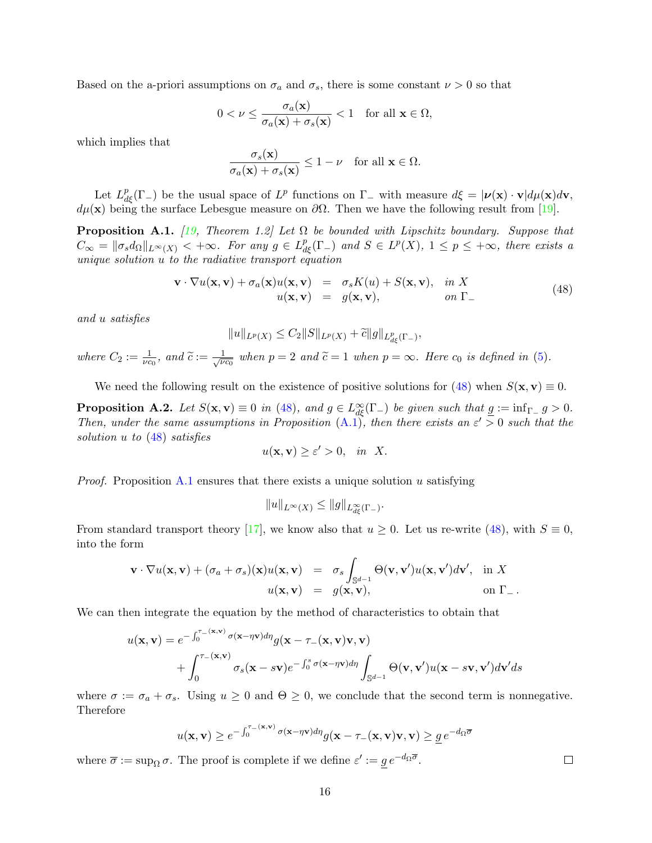Based on the a-priori assumptions on  $\sigma_a$  and  $\sigma_s$ , there is some constant  $\nu > 0$  so that

$$
0 < \nu \le \frac{\sigma_a(\mathbf{x})}{\sigma_a(\mathbf{x}) + \sigma_s(\mathbf{x})} < 1 \quad \text{for all } \mathbf{x} \in \Omega,
$$

which implies that

$$
\frac{\sigma_s(\mathbf{x})}{\sigma_a(\mathbf{x}) + \sigma_s(\mathbf{x})} \le 1 - \nu \quad \text{for all } \mathbf{x} \in \Omega.
$$

Let  $L_{d\xi}^p(\Gamma_-)$  be the usual space of  $L^p$  functions on  $\Gamma_-$  with measure  $d\xi = |\nu(\mathbf{x}) \cdot \mathbf{v}| d\mu(\mathbf{x}) d\mathbf{v}$ ,  $d\mu(\mathbf{x})$  being the surface Lebesgue measure on  $\partial\Omega$ . Then we have the following result from [\[19\]](#page-21-15).

<span id="page-15-0"></span>**Proposition A.1.** [\[19,](#page-21-15) Theorem 1.2] Let  $\Omega$  be bounded with Lipschitz boundary. Suppose that  $C_{\infty} = ||\sigma_s d_{\Omega}||_{L^{\infty}(X)} < +\infty$ . For any  $g \in L^p_{d\xi}(\Gamma_{-})$  and  $S \in L^p(X)$ ,  $1 \leq p \leq +\infty$ , there exists a unique solution u to the radiative transport equation

<span id="page-15-2"></span>
$$
\mathbf{v} \cdot \nabla u(\mathbf{x}, \mathbf{v}) + \sigma_a(\mathbf{x}) u(\mathbf{x}, \mathbf{v}) = \sigma_s K(u) + S(\mathbf{x}, \mathbf{v}), \text{ in } X u(\mathbf{x}, \mathbf{v}) = g(\mathbf{x}, \mathbf{v}), \text{ on } \Gamma_-
$$
 (48)

and u satisfies

$$
||u||_{L^p(X)} \leq C_2 ||S||_{L^p(X)} + \tilde{c} ||g||_{L^p_{d\xi}(\Gamma_-)},
$$

where  $C_2 := \frac{1}{\nu c_0}$ , and  $\widetilde{c} := \frac{1}{\sqrt{\nu}}$  $\frac{1}{\nu c_0}$  when  $p = 2$  and  $\tilde{c} = 1$  when  $p = \infty$ . Here  $c_0$  is defined in [\(5\)](#page-2-2).

We need the following result on the existence of positive solutions for [\(48\)](#page-15-2) when  $S(\mathbf{x}, \mathbf{v}) \equiv 0$ .

<span id="page-15-1"></span>**Proposition A.2.** Let  $S(\mathbf{x}, \mathbf{v}) \equiv 0$  in [\(48\)](#page-15-2), and  $g \in L^{\infty}_{d\xi}(\Gamma_{-})$  be given such that  $\underline{g} := \inf_{\Gamma_{-}} g > 0$ . Then, under the same assumptions in Proposition  $(A, \tilde{I})$ , then there exists an  $\varepsilon' > 0$  such that the solution u to [\(48\)](#page-15-2) satisfies

$$
u(\mathbf{x}, \mathbf{v}) \ge \varepsilon' > 0, \quad \text{in} \quad X.
$$

*Proof.* Proposition [A.1](#page-15-0) ensures that there exists a unique solution u satisfying

$$
||u||_{L^{\infty}(X)} \leq ||g||_{L^{\infty}_{d\xi}(\Gamma_{-})}.
$$

From standard transport theory [\[17\]](#page-21-7), we know also that  $u \ge 0$ . Let us re-write [\(48\)](#page-15-2), with  $S \equiv 0$ , into the form

$$
\mathbf{v} \cdot \nabla u(\mathbf{x}, \mathbf{v}) + (\sigma_a + \sigma_s)(\mathbf{x})u(\mathbf{x}, \mathbf{v}) = \sigma_s \int_{\mathbb{S}^{d-1}} \Theta(\mathbf{v}, \mathbf{v}')u(\mathbf{x}, \mathbf{v}')d\mathbf{v}', \text{ in } X
$$
  
 
$$
u(\mathbf{x}, \mathbf{v}) = g(\mathbf{x}, \mathbf{v}), \text{ on } \Gamma_-.
$$

We can then integrate the equation by the method of characteristics to obtain that

$$
u(\mathbf{x}, \mathbf{v}) = e^{-\int_0^{\tau_{-}(\mathbf{x}, \mathbf{v})} \sigma(\mathbf{x} - \eta \mathbf{v}) d\eta} g(\mathbf{x} - \tau_{-}(\mathbf{x}, \mathbf{v}) \mathbf{v}, \mathbf{v}) + \int_0^{\tau_{-}(\mathbf{x}, \mathbf{v})} \sigma_s(\mathbf{x} - s \mathbf{v}) e^{-\int_0^s \sigma(\mathbf{x} - \eta \mathbf{v}) d\eta} \int_{\mathbb{S}^{d-1}} \Theta(\mathbf{v}, \mathbf{v}') u(\mathbf{x} - s \mathbf{v}, \mathbf{v}') d\mathbf{v}' ds
$$

where  $\sigma := \sigma_a + \sigma_s$ . Using  $u \geq 0$  and  $\Theta \geq 0$ , we conclude that the second term is nonnegative. Therefore

$$
u(\mathbf{x}, \mathbf{v}) \ge e^{-\int_0^{\tau - (\mathbf{x}, \mathbf{v})} \sigma(\mathbf{x} - \eta \mathbf{v}) d\eta} g(\mathbf{x} - \tau_{-}(\mathbf{x}, \mathbf{v}) \mathbf{v}, \mathbf{v}) \ge \underline{g} \, e^{-d\Omega \overline{\sigma}}
$$

where  $\overline{\sigma} := \sup_{\Omega} \sigma$ . The proof is complete if we define  $\varepsilon' := \underline{g} e^{-d_{\Omega} \overline{\sigma}}$ .

 $\Box$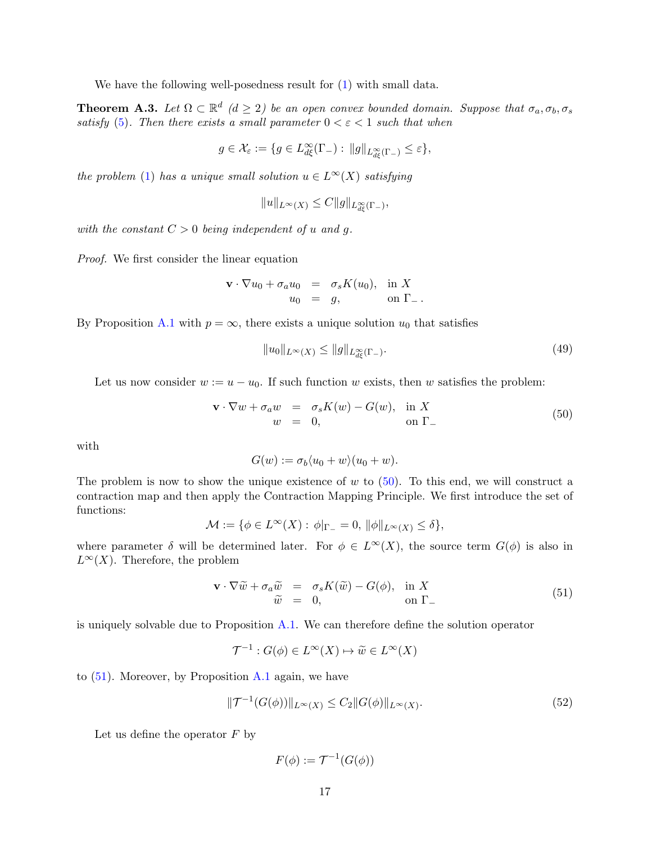We have the following well-posedness result for  $(1)$  with small data.

<span id="page-16-0"></span>**Theorem A.3.** Let  $\Omega \subset \mathbb{R}^d$  ( $d \geq 2$ ) be an open convex bounded domain. Suppose that  $\sigma_a, \sigma_b, \sigma_s$ satisfy [\(5\)](#page-2-2). Then there exists a small parameter  $0 < \varepsilon < 1$  such that when

$$
g\in \mathcal{X}_\varepsilon:=\{g\in L^\infty_{d\xi}(\Gamma_-):\, \|g\|_{L^\infty_{d\xi}(\Gamma_-)}\leq \varepsilon\},
$$

the problem [\(1\)](#page-0-0) has a unique small solution  $u \in L^{\infty}(X)$  satisfying

$$
||u||_{L^{\infty}(X)} \leq C||g||_{L^{\infty}_{d\xi}(\Gamma_{-})},
$$

with the constant  $C > 0$  being independent of u and q.

Proof. We first consider the linear equation

$$
\mathbf{v} \cdot \nabla u_0 + \sigma_a u_0 = \sigma_s K(u_0), \text{ in } X
$$
  

$$
u_0 = g, \text{ on } \Gamma_-.
$$

By Proposition [A.1](#page-15-0) with  $p = \infty$ , there exists a unique solution  $u_0$  that satisfies

<span id="page-16-4"></span>
$$
||u_0||_{L^{\infty}(X)} \le ||g||_{L^{\infty}_{d\xi}(\Gamma_{-})}.
$$
\n(49)

Let us now consider  $w := u - u_0$ . If such function w exists, then w satisfies the problem:

<span id="page-16-1"></span>
$$
\mathbf{v} \cdot \nabla w + \sigma_a w = \sigma_s K(w) - G(w), \text{ in } X
$$
  
\n
$$
w = 0, \text{ on } \Gamma_-
$$
\n(50)

with

$$
G(w) := \sigma_b \langle u_0 + w \rangle (u_0 + w).
$$

The problem is now to show the unique existence of  $w$  to [\(50\)](#page-16-1). To this end, we will construct a contraction map and then apply the Contraction Mapping Principle. We first introduce the set of functions:

$$
\mathcal{M} := \{ \phi \in L^{\infty}(X) : \phi|_{\Gamma_{-}} = 0, \|\phi\|_{L^{\infty}(X)} \le \delta \},
$$

where parameter  $\delta$  will be determined later. For  $\phi \in L^{\infty}(X)$ , the source term  $G(\phi)$  is also in  $L^{\infty}(X)$ . Therefore, the problem

<span id="page-16-2"></span>
$$
\mathbf{v} \cdot \nabla \widetilde{w} + \sigma_a \widetilde{w} = \sigma_s K(\widetilde{w}) - G(\phi), \text{ in } X
$$
  
\n
$$
\widetilde{w} = 0, \qquad \text{on } \Gamma_{-}
$$
\n(51)

is uniquely solvable due to Proposition [A.1.](#page-15-0) We can therefore define the solution operator

$$
\mathcal{T}^{-1}: G(\phi) \in L^{\infty}(X) \mapsto \widetilde{w} \in L^{\infty}(X)
$$

to [\(51\)](#page-16-2). Moreover, by Proposition [A.1](#page-15-0) again, we have

$$
\|\mathcal{T}^{-1}(G(\phi))\|_{L^{\infty}(X)} \le C_2 \|G(\phi)\|_{L^{\infty}(X)}.
$$
\n(52)

Let us define the operator  $F$  by

<span id="page-16-3"></span>
$$
F(\phi) := \mathcal{T}^{-1}(G(\phi))
$$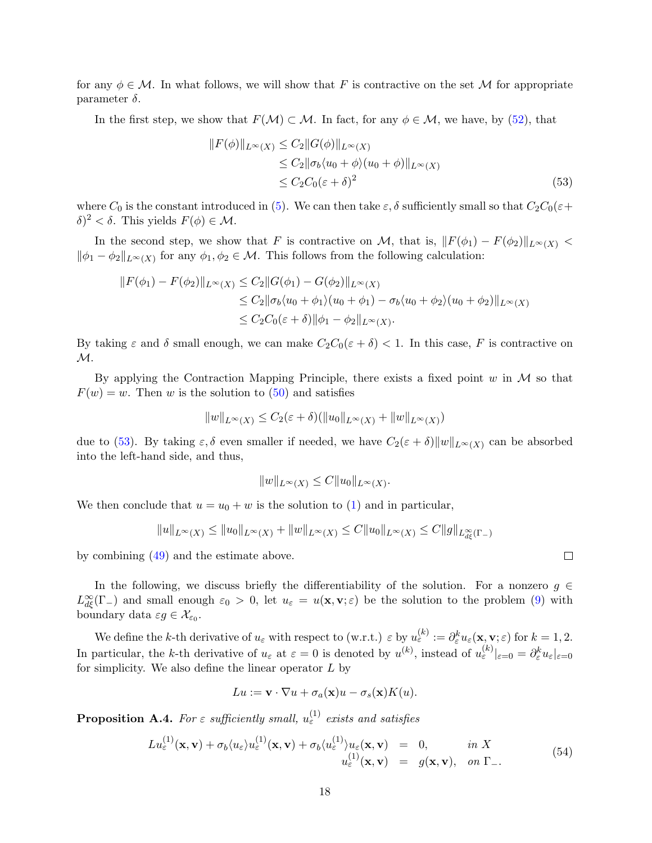for any  $\phi \in \mathcal{M}$ . In what follows, we will show that F is contractive on the set M for appropriate parameter  $\delta$ .

In the first step, we show that  $F(\mathcal{M}) \subset \mathcal{M}$ . In fact, for any  $\phi \in \mathcal{M}$ , we have, by [\(52\)](#page-16-3), that

<span id="page-17-1"></span>
$$
||F(\phi)||_{L^{\infty}(X)} \leq C_2 ||G(\phi)||_{L^{\infty}(X)}
$$
  
\n
$$
\leq C_2 ||\sigma_b \langle u_0 + \phi \rangle (u_0 + \phi) ||_{L^{\infty}(X)}
$$
  
\n
$$
\leq C_2 C_0 (\varepsilon + \delta)^2
$$
\n(53)

where  $C_0$  is the constant introduced in [\(5\)](#page-2-2). We can then take  $\varepsilon$ ,  $\delta$  sufficiently small so that  $C_2C_0(\varepsilon+\varepsilon)$  $\delta$ )<sup>2</sup> <  $\delta$ . This yields  $F(\phi) \in \mathcal{M}$ .

In the second step, we show that F is contractive on M, that is,  $||F(\phi_1) - F(\phi_2)||_{L^{\infty}(X)}$  $\|\phi_1 - \phi_2\|_{L^\infty(X)}$  for any  $\phi_1, \phi_2 \in \mathcal{M}$ . This follows from the following calculation:

$$
||F(\phi_1) - F(\phi_2)||_{L^{\infty}(X)} \le C_2 ||G(\phi_1) - G(\phi_2)||_{L^{\infty}(X)}
$$
  
\n
$$
\le C_2 ||\sigma_b \langle u_0 + \phi_1 \rangle (u_0 + \phi_1) - \sigma_b \langle u_0 + \phi_2 \rangle (u_0 + \phi_2)||_{L^{\infty}(X)}
$$
  
\n
$$
\le C_2 C_0(\varepsilon + \delta) ||\phi_1 - \phi_2||_{L^{\infty}(X)}.
$$

By taking  $\varepsilon$  and  $\delta$  small enough, we can make  $C_2C_0(\varepsilon + \delta) < 1$ . In this case, F is contractive on  $\mathcal{M}.$ 

By applying the Contraction Mapping Principle, there exists a fixed point  $w$  in  $\mathcal M$  so that  $F(w) = w$ . Then w is the solution to [\(50\)](#page-16-1) and satisfies

$$
||w||_{L^{\infty}(X)} \leq C_2(\varepsilon + \delta)(||u_0||_{L^{\infty}(X)} + ||w||_{L^{\infty}(X)})
$$

due to [\(53\)](#page-17-1). By taking  $\varepsilon, \delta$  even smaller if needed, we have  $C_2(\varepsilon + \delta) \|w\|_{L^\infty(X)}$  can be absorbed into the left-hand side, and thus,

$$
||w||_{L^{\infty}(X)} \leq C||u_0||_{L^{\infty}(X)}.
$$

We then conclude that  $u = u_0 + w$  is the solution to [\(1\)](#page-0-0) and in particular,

$$
||u||_{L^{\infty}(X)} \le ||u_0||_{L^{\infty}(X)} + ||w||_{L^{\infty}(X)} \le C||u_0||_{L^{\infty}(X)} \le C||g||_{L^{\infty}_{d\xi}(\Gamma-)}
$$

by combining [\(49\)](#page-16-4) and the estimate above.

In the following, we discuss briefly the differentiability of the solution. For a nonzero  $g \in$  $L_{d\xi}^{\infty}(\Gamma_{-})$  and small enough  $\varepsilon_0 > 0$ , let  $u_{\varepsilon} = u(\mathbf{x}, \mathbf{v}; \varepsilon)$  be the solution to the problem [\(9\)](#page-3-0) with boundary data  $\varepsilon g \in \mathcal{X}_{\varepsilon_0}$ .

We define the k-th derivative of  $u_{\varepsilon}$  with respect to (w.r.t.)  $\varepsilon$  by  $u_{\varepsilon}^{(k)} := \partial_{\varepsilon}^k u_{\varepsilon}(\mathbf{x}, \mathbf{v}; \varepsilon)$  for  $k = 1, 2$ . In particular, the k-th derivative of  $u_{\varepsilon}$  at  $\varepsilon = 0$  is denoted by  $u^{(k)}$ , instead of  $u_{\varepsilon}^{(k)}|_{\varepsilon=0} = \partial_{\varepsilon}^{k} u_{\varepsilon}|_{\varepsilon=0}$ for simplicity. We also define the linear operator  $L$  by

$$
Lu := \mathbf{v} \cdot \nabla u + \sigma_a(\mathbf{x})u - \sigma_s(\mathbf{x})K(u).
$$

<span id="page-17-0"></span>**Proposition A.4.** For  $\varepsilon$  sufficiently small,  $u_{\varepsilon}^{(1)}$  exists and satisfies

<span id="page-17-2"></span>
$$
Lu_{\varepsilon}^{(1)}(\mathbf{x}, \mathbf{v}) + \sigma_b \langle u_{\varepsilon} \rangle u_{\varepsilon}^{(1)}(\mathbf{x}, \mathbf{v}) + \sigma_b \langle u_{\varepsilon}^{(1)} \rangle u_{\varepsilon}(\mathbf{x}, \mathbf{v}) = 0, \quad in \ X u_{\varepsilon}^{(1)}(\mathbf{x}, \mathbf{v}) = g(\mathbf{x}, \mathbf{v}), \quad on \ \Gamma_{-}.
$$
 (54)

 $\Box$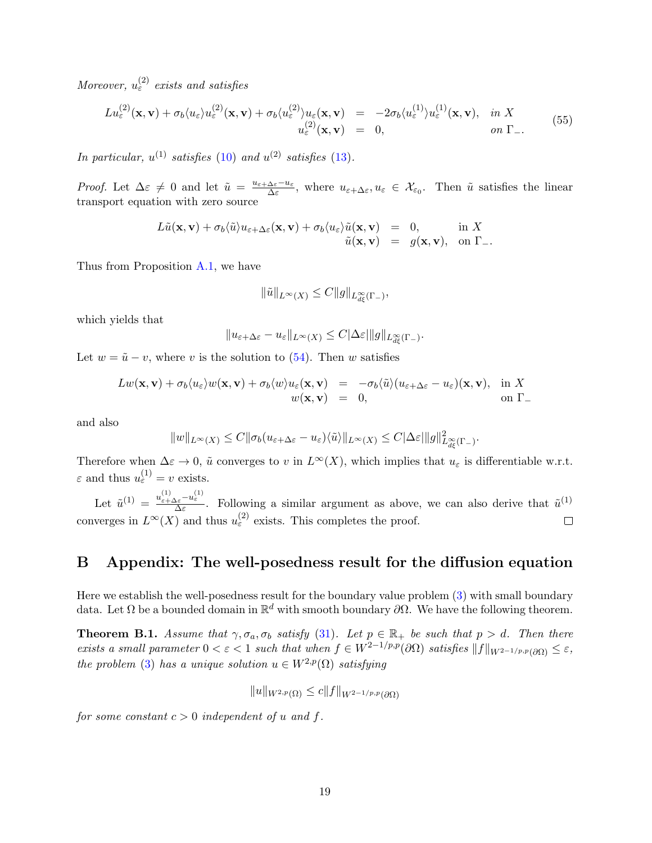Moreover,  $u_{\varepsilon}^{(2)}$  exists and satisfies

$$
Lu_{\varepsilon}^{(2)}(\mathbf{x}, \mathbf{v}) + \sigma_b \langle u_{\varepsilon} \rangle u_{\varepsilon}^{(2)}(\mathbf{x}, \mathbf{v}) + \sigma_b \langle u_{\varepsilon}^{(2)} \rangle u_{\varepsilon}(\mathbf{x}, \mathbf{v}) = -2\sigma_b \langle u_{\varepsilon}^{(1)} \rangle u_{\varepsilon}^{(1)}(\mathbf{x}, \mathbf{v}), \text{ in } X u_{\varepsilon}^{(2)}(\mathbf{x}, \mathbf{v}) = 0, \text{ on } \Gamma_{-}.
$$
 (55)

In particular,  $u^{(1)}$  satisfies [\(10\)](#page-3-1) and  $u^{(2)}$  satisfies [\(13\)](#page-4-0).

*Proof.* Let  $\Delta \varepsilon \neq 0$  and let  $\tilde{u} = \frac{u_{\varepsilon + \Delta \varepsilon} - u_{\varepsilon}}{\Delta \varepsilon}$  $\frac{\Delta \varepsilon - u_{\varepsilon}}{\Delta \varepsilon}$ , where  $u_{\varepsilon + \Delta \varepsilon}, u_{\varepsilon} \in \mathcal{X}_{\varepsilon_0}$ . Then  $\tilde{u}$  satisfies the linear transport equation with zero source

$$
L\tilde{u}(\mathbf{x}, \mathbf{v}) + \sigma_b \langle \tilde{u} \rangle u_{\varepsilon + \Delta \varepsilon}(\mathbf{x}, \mathbf{v}) + \sigma_b \langle u_{\varepsilon} \rangle \tilde{u}(\mathbf{x}, \mathbf{v}) = 0, \quad \text{in } X \tilde{u}(\mathbf{x}, \mathbf{v}) = g(\mathbf{x}, \mathbf{v}), \quad \text{on } \Gamma_-.
$$

Thus from Proposition [A.1,](#page-15-0) we have

$$
\|\tilde{u}\|_{L^{\infty}(X)} \leq C \|g\|_{L^{\infty}_{d\xi}(\Gamma_{-})},
$$

which yields that

$$
||u_{\varepsilon+\Delta\varepsilon}-u_{\varepsilon}||_{L^{\infty}(X)} \leq C|\Delta\varepsilon| ||g||_{L^{\infty}_{d\xi}(\Gamma_{-})}.
$$

Let  $w = \tilde{u} - v$ , where v is the solution to [\(54\)](#page-17-2). Then w satisfies

$$
Lw(\mathbf{x}, \mathbf{v}) + \sigma_b \langle u_{\varepsilon} \rangle w(\mathbf{x}, \mathbf{v}) + \sigma_b \langle w \rangle u_{\varepsilon}(\mathbf{x}, \mathbf{v}) = -\sigma_b \langle \tilde{u} \rangle (u_{\varepsilon + \Delta \varepsilon} - u_{\varepsilon}) (\mathbf{x}, \mathbf{v}), \quad \text{in } X
$$
  

$$
w(\mathbf{x}, \mathbf{v}) = 0, \qquad \text{on } \Gamma_-
$$

and also

$$
||w||_{L^{\infty}(X)} \leq C||\sigma_b(u_{\varepsilon+\Delta\varepsilon}-u_{\varepsilon})\langle\tilde{u}\rangle||_{L^{\infty}(X)} \leq C|\Delta\varepsilon| ||g||^2_{L^{\infty}_{d\xi}(\Gamma_{-})}.
$$

Therefore when  $\Delta \varepsilon \to 0$ ,  $\tilde{u}$  converges to v in  $L^{\infty}(X)$ , which implies that  $u_{\varepsilon}$  is differentiable w.r.t.  $\varepsilon$  and thus  $u_{\varepsilon}^{(1)} = v$  exists.

Let  $\tilde{u}^{(1)} = \frac{u_{\varepsilon+\Delta\varepsilon}^{(1)} - u_{\varepsilon}^{(1)}}{\Delta\varepsilon}$ . Following a similar argument as above, we can also derive that  $\tilde{u}^{(1)}$ converges in  $L^{\infty}(X)$  and thus  $u_{\varepsilon}^{(2)}$  exists. This completes the proof.  $\Box$ 

#### B Appendix: The well-posedness result for the diffusion equation

Here we establish the well-posedness result for the boundary value problem [\(3\)](#page-1-1) with small boundary data. Let  $\Omega$  be a bounded domain in  $\mathbb{R}^d$  with smooth boundary  $\partial\Omega$ . We have the following theorem.

<span id="page-18-0"></span>**Theorem B.1.** Assume that  $\gamma$ ,  $\sigma_a$ ,  $\sigma_b$  satisfy [\(31\)](#page-9-3). Let  $p \in \mathbb{R}_+$  be such that  $p > d$ . Then there exists a small parameter  $0 < \varepsilon < 1$  such that when  $f \in W^{2-1/p,p}(\partial \Omega)$  satisfies  $||f||_{W^{2-1/p,p}(\partial \Omega)} \leq \varepsilon$ , the problem [\(3\)](#page-1-1) has a unique solution  $u \in W^{2,p}(\Omega)$  satisfying

$$
||u||_{W^{2,p}(\Omega)} \leq c||f||_{W^{2-1/p,p}(\partial\Omega)}
$$

for some constant  $c > 0$  independent of u and f.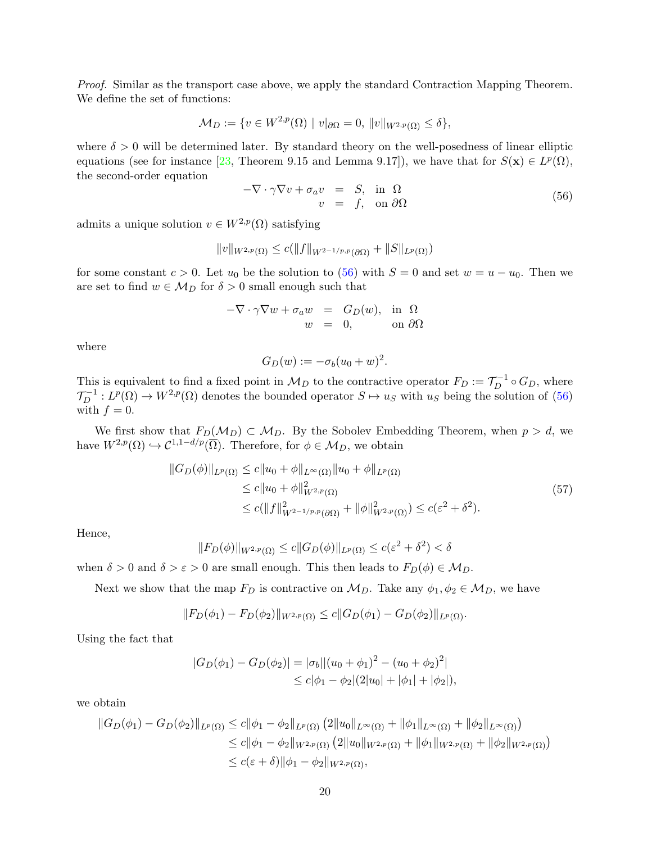Proof. Similar as the transport case above, we apply the standard Contraction Mapping Theorem. We define the set of functions:

$$
\mathcal{M}_D := \{ v \in W^{2,p}(\Omega) \mid v|_{\partial \Omega} = 0, \, \|v\|_{W^{2,p}(\Omega)} \le \delta \},
$$

where  $\delta > 0$  will be determined later. By standard theory on the well-posedness of linear elliptic equations (see for instance [\[23,](#page-21-16) Theorem 9.15 and Lemma 9.17]), we have that for  $S(\mathbf{x}) \in L^p(\Omega)$ , the second-order equation

<span id="page-19-0"></span>
$$
-\nabla \cdot \gamma \nabla v + \sigma_a v = S, \text{ in } \Omega \n v = f, \text{ on } \partial \Omega
$$
\n(56)

admits a unique solution  $v \in W^{2,p}(\Omega)$  satisfying

$$
||v||_{W^{2,p}(\Omega)} \le c(||f||_{W^{2-1/p,p}(\partial\Omega)} + ||S||_{L^p(\Omega)})
$$

for some constant  $c > 0$ . Let  $u_0$  be the solution to [\(56\)](#page-19-0) with  $S = 0$  and set  $w = u - u_0$ . Then we are set to find  $w \in M_D$  for  $\delta > 0$  small enough such that

$$
-\nabla \cdot \gamma \nabla w + \sigma_a w = G_D(w), \text{ in } \Omega
$$
  

$$
w = 0, \text{ on } \partial \Omega
$$

where

$$
G_D(w) := -\sigma_b(u_0 + w)^2.
$$

This is equivalent to find a fixed point in  $\mathcal{M}_D$  to the contractive operator  $F_D := \mathcal{T}_D^{-1} \circ G_D$ , where  $\mathcal{T}_D^{-1}: L^p(\Omega) \to W^{2,p}(\Omega)$  denotes the bounded operator  $S \mapsto u_S$  with  $u_S$  being the solution of [\(56\)](#page-19-0) with  $f = 0$ .

We first show that  $F_D(\mathcal{M}_D) \subset \mathcal{M}_D$ . By the Sobolev Embedding Theorem, when  $p > d$ , we have  $W^{2,p}(\Omega) \hookrightarrow C^{1,1-d/p}(\overline{\Omega})$ . Therefore, for  $\phi \in \mathcal{M}_D$ , we obtain

$$
||G_D(\phi)||_{L^p(\Omega)} \le c||u_0 + \phi||_{L^{\infty}(\Omega)}||u_0 + \phi||_{L^p(\Omega)}
$$
  
\n
$$
\le c||u_0 + \phi||_{W^{2,p}(\Omega)}^2
$$
  
\n
$$
\le c(||f||_{W^{2-1/p,p}(\partial\Omega)}^2 + ||\phi||_{W^{2,p}(\Omega)}^2) \le c(\varepsilon^2 + \delta^2).
$$
\n(57)

<span id="page-19-1"></span>Hence,

$$
||F_D(\phi)||_{W^{2,p}(\Omega)} \le c||G_D(\phi)||_{L^p(\Omega)} \le c(\varepsilon^2 + \delta^2) < \delta
$$

when  $\delta > 0$  and  $\delta > \varepsilon > 0$  are small enough. This then leads to  $F_D(\phi) \in \mathcal{M}_D$ .

Next we show that the map  $F_D$  is contractive on  $\mathcal{M}_D$ . Take any  $\phi_1, \phi_2 \in \mathcal{M}_D$ , we have

$$
||F_D(\phi_1) - F_D(\phi_2)||_{W^{2,p}(\Omega)} \leq c||G_D(\phi_1) - G_D(\phi_2)||_{L^p(\Omega)}.
$$

Using the fact that

$$
|G_D(\phi_1) - G_D(\phi_2)| = |\sigma_b||(u_0 + \phi_1)^2 - (u_0 + \phi_2)^2|
$$
  
 
$$
\leq c|\phi_1 - \phi_2|(2|u_0| + |\phi_1| + |\phi_2|),
$$

we obtain

$$
||G_D(\phi_1) - G_D(\phi_2)||_{L^p(\Omega)} \le c||\phi_1 - \phi_2||_{L^p(\Omega)} (2||u_0||_{L^\infty(\Omega)} + ||\phi_1||_{L^\infty(\Omega)} + ||\phi_2||_{L^\infty(\Omega)})
$$
  
\n
$$
\le c||\phi_1 - \phi_2||_{W^{2,p}(\Omega)} (2||u_0||_{W^{2,p}(\Omega)} + ||\phi_1||_{W^{2,p}(\Omega)} + ||\phi_2||_{W^{2,p}(\Omega)})
$$
  
\n
$$
\le c(\varepsilon + \delta) ||\phi_1 - \phi_2||_{W^{2,p}(\Omega)},
$$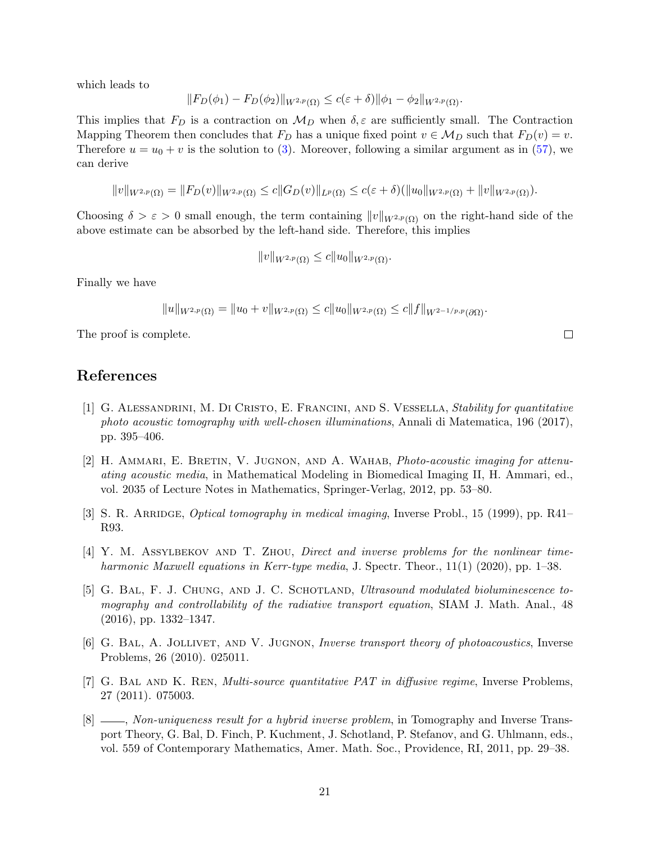which leads to

$$
||F_D(\phi_1) - F_D(\phi_2)||_{W^{2,p}(\Omega)} \le c(\varepsilon + \delta) ||\phi_1 - \phi_2||_{W^{2,p}(\Omega)}.
$$

This implies that  $F_D$  is a contraction on  $\mathcal{M}_D$  when  $\delta, \varepsilon$  are sufficiently small. The Contraction Mapping Theorem then concludes that  $F_D$  has a unique fixed point  $v \in \mathcal{M}_D$  such that  $F_D(v) = v$ . Therefore  $u = u_0 + v$  is the solution to [\(3\)](#page-1-1). Moreover, following a similar argument as in [\(57\)](#page-19-1), we can derive

$$
||v||_{W^{2,p}(\Omega)} = ||F_D(v)||_{W^{2,p}(\Omega)} \le c||G_D(v)||_{L^p(\Omega)} \le c(\varepsilon + \delta)(||u_0||_{W^{2,p}(\Omega)} + ||v||_{W^{2,p}(\Omega)}).
$$

Choosing  $\delta > \varepsilon > 0$  small enough, the term containing  $||v||_{W^{2,p}(\Omega)}$  on the right-hand side of the above estimate can be absorbed by the left-hand side. Therefore, this implies

$$
||v||_{W^{2,p}(\Omega)} \leq c||u_0||_{W^{2,p}(\Omega)}.
$$

Finally we have

$$
||u||_{W^{2,p}(\Omega)} = ||u_0 + v||_{W^{2,p}(\Omega)} \leq c||u_0||_{W^{2,p}(\Omega)} \leq c||f||_{W^{2-1/p,p}(\partial\Omega)}.
$$

The proof is complete.

#### References

- <span id="page-20-7"></span>[1] G. Alessandrini, M. Di Cristo, E. Francini, and S. Vessella, Stability for quantitative photo acoustic tomography with well-chosen illuminations, Annali di Matematica, 196 (2017), pp. 395–406.
- <span id="page-20-2"></span>[2] H. Ammari, E. Bretin, V. Jugnon, and A. Wahab, Photo-acoustic imaging for attenuating acoustic media, in Mathematical Modeling in Biomedical Imaging II, H. Ammari, ed., vol. 2035 of Lecture Notes in Mathematics, Springer-Verlag, 2012, pp. 53–80.
- <span id="page-20-0"></span>[3] S. R. ARRIDGE, *Optical tomography in medical imaging*, Inverse Probl., 15 (1999), pp. R41– R93.
- <span id="page-20-4"></span>[4] Y. M. Assylbekov and T. Zhou, Direct and inverse problems for the nonlinear timeharmonic Maxwell equations in Kerr-type media, J. Spectr. Theor., 11(1) (2020), pp. 1–38.
- <span id="page-20-5"></span>[5] G. BAL, F. J. CHUNG, AND J. C. SCHOTLAND, *Ultrasound modulated bioluminescence to*mography and controllability of the radiative transport equation, SIAM J. Math. Anal., 48 (2016), pp. 1332–1347.
- <span id="page-20-1"></span>[6] G. Bal, A. Jollivet, and V. Jugnon, Inverse transport theory of photoacoustics, Inverse Problems, 26 (2010). 025011.
- <span id="page-20-6"></span>[7] G. BAL AND K. REN, *Multi-source quantitative PAT in diffusive regime*, Inverse Problems, 27 (2011). 075003.
- <span id="page-20-3"></span>[8]  $\_\_\_\_\_\$  Non-uniqueness result for a hybrid inverse problem, in Tomography and Inverse Transport Theory, G. Bal, D. Finch, P. Kuchment, J. Schotland, P. Stefanov, and G. Uhlmann, eds., vol. 559 of Contemporary Mathematics, Amer. Math. Soc., Providence, RI, 2011, pp. 29–38.

 $\Box$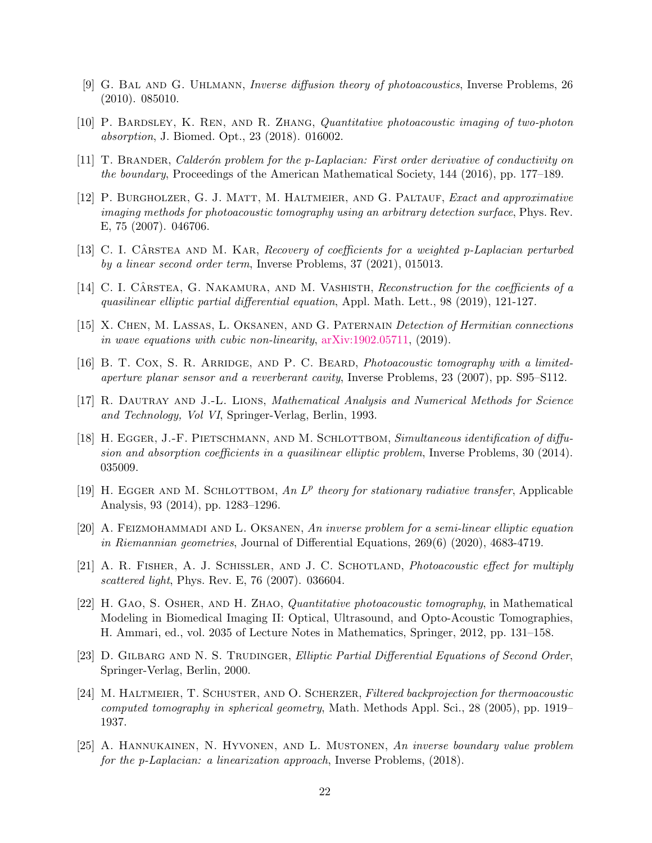- <span id="page-21-1"></span>[9] G. Bal and G. Uhlmann, Inverse diffusion theory of photoacoustics, Inverse Problems, 26 (2010). 085010.
- <span id="page-21-6"></span>[10] P. Bardsley, K. Ren, and R. Zhang, Quantitative photoacoustic imaging of two-photon absorption, J. Biomed. Opt., 23 (2018). 016002.
- <span id="page-21-8"></span>[11] T. Brander, Calder´on problem for the p-Laplacian: First order derivative of conductivity on the boundary, Proceedings of the American Mathematical Society, 144 (2016), pp. 177–189.
- <span id="page-21-2"></span>[12] P. BURGHOLZER, G. J. MATT, M. HALTMEIER, AND G. PALTAUF, Exact and approximative imaging methods for photoacoustic tomography using an arbitrary detection surface, Phys. Rev. E, 75 (2007). 046706.
- <span id="page-21-9"></span>[13] C. I. CÂRSTEA AND M. KAR, Recovery of coefficients for a weighted p-Laplacian perturbed by a linear second order term, Inverse Problems, 37 (2021), 015013.
- <span id="page-21-10"></span>[14] C. I. CÂRSTEA, G. NAKAMURA, AND M. VASHISTH, Reconstruction for the coefficients of a quasilinear elliptic partial differential equation, Appl. Math. Lett., 98 (2019), 121-127.
- <span id="page-21-11"></span>[15] X. Chen, M. Lassas, L. Oksanen, and G. Paternain Detection of Hermitian connections in wave equations with cubic non-linearity, [arXiv:1902.05711,](http://arxiv.org/abs/1902.05711) (2019).
- <span id="page-21-3"></span>[16] B. T. Cox, S. R. Arridge, and P. C. Beard, Photoacoustic tomography with a limitedaperture planar sensor and a reverberant cavity, Inverse Problems, 23 (2007), pp. S95–S112.
- <span id="page-21-7"></span>[17] R. Dautray and J.-L. Lions, Mathematical Analysis and Numerical Methods for Science and Technology, Vol VI, Springer-Verlag, Berlin, 1993.
- <span id="page-21-12"></span>[18] H. EGGER, J.-F. PIETSCHMANN, AND M. SCHLOTTBOM, Simultaneous identification of diffusion and absorption coefficients in a quasilinear elliptic problem, Inverse Problems, 30 (2014). 035009.
- <span id="page-21-15"></span>[19] H. EGGER AND M. SCHLOTTBOM, An  $L^p$  theory for stationary radiative transfer, Applicable Analysis, 93 (2014), pp. 1283–1296.
- <span id="page-21-13"></span> $[20]$  A. FEIZMOHAMMADI AND L. OKSANEN, An inverse problem for a semi-linear elliptic equation in Riemannian geometries, Journal of Differential Equations, 269(6) (2020), 4683-4719.
- <span id="page-21-0"></span>[21] A. R. FISHER, A. J. SCHISSLER, AND J. C. SCHOTLAND, *Photoacoustic effect for multiply* scattered light, Phys. Rev. E, 76 (2007). 036604.
- <span id="page-21-5"></span>[22] H. Gao, S. Osher, and H. Zhao, Quantitative photoacoustic tomography, in Mathematical Modeling in Biomedical Imaging II: Optical, Ultrasound, and Opto-Acoustic Tomographies, H. Ammari, ed., vol. 2035 of Lecture Notes in Mathematics, Springer, 2012, pp. 131–158.
- <span id="page-21-16"></span>[23] D. GILBARG AND N. S. TRUDINGER, Elliptic Partial Differential Equations of Second Order, Springer-Verlag, Berlin, 2000.
- <span id="page-21-4"></span>[24] M. HALTMEIER, T. SCHUSTER, AND O. SCHERZER, Filtered backprojection for thermoacoustic computed tomography in spherical geometry, Math. Methods Appl. Sci., 28 (2005), pp. 1919– 1937.
- <span id="page-21-14"></span>[25] A. Hannukainen, N. Hyvonen, and L. Mustonen, An inverse boundary value problem for the p-Laplacian: a linearization approach, Inverse Problems, (2018).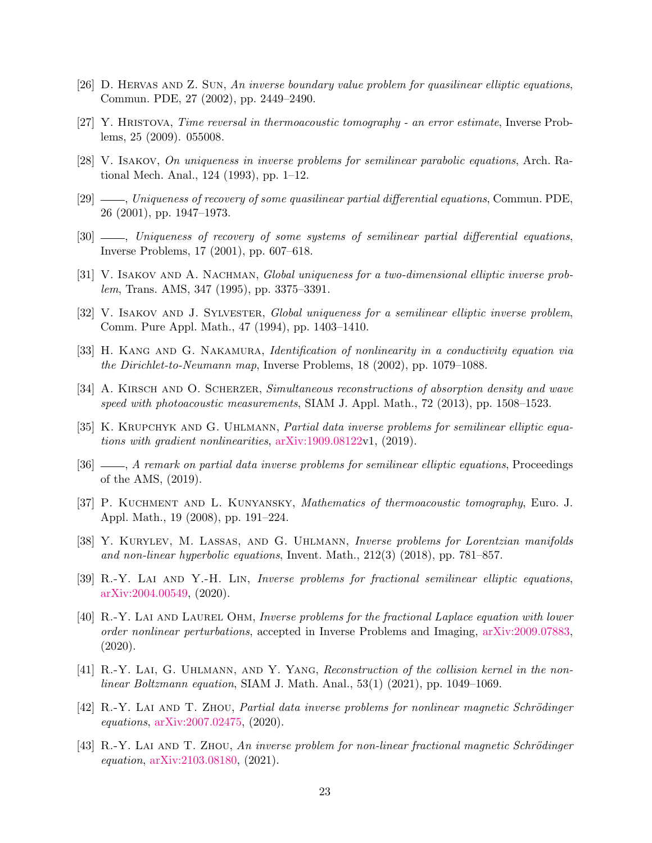- <span id="page-22-8"></span>[26] D. Hervas and Z. Sun, An inverse boundary value problem for quasilinear elliptic equations, Commun. PDE, 27 (2002), pp. 2449–2490.
- <span id="page-22-0"></span>[27] Y. Hristova, Time reversal in thermoacoustic tomography - an error estimate, Inverse Problems, 25 (2009). 055008.
- <span id="page-22-3"></span>[28] V. Isakov, On uniqueness in inverse problems for semilinear parabolic equations, Arch. Rational Mech. Anal., 124 (1993), pp. 1–12.
- <span id="page-22-4"></span>[29] , Uniqueness of recovery of some quasilinear partial differential equations, Commun. PDE, 26 (2001), pp. 1947–1973.
- <span id="page-22-5"></span>[30] , Uniqueness of recovery of some systems of semilinear partial differential equations, Inverse Problems, 17 (2001), pp. 607–618.
- <span id="page-22-6"></span>[31] V. ISAKOV AND A. NACHMAN, Global uniqueness for a two-dimensional elliptic inverse problem, Trans. AMS, 347 (1995), pp. 3375–3391.
- <span id="page-22-7"></span>[32] V. ISAKOV AND J. SYLVESTER, Global uniqueness for a semilinear elliptic inverse problem, Comm. Pure Appl. Math., 47 (1994), pp. 1403–1410.
- <span id="page-22-9"></span>[33] H. KANG AND G. NAKAMURA, *Identification of nonlinearity in a conductivity equation via* the Dirichlet-to-Neumann map, Inverse Problems, 18 (2002), pp. 1079–1088.
- <span id="page-22-1"></span>[34] A. KIRSCH AND O. SCHERZER, Simultaneous reconstructions of absorption density and wave speed with photoacoustic measurements, SIAM J. Appl. Math., 72 (2013), pp. 1508–1523.
- <span id="page-22-10"></span>[35] K. KRUPCHYK AND G. UHLMANN, *Partial data inverse problems for semilinear elliptic equa*tions with gradient nonlinearities, [arXiv:1909.08122v](http://arxiv.org/abs/1909.08122)1, (2019).
- <span id="page-22-11"></span>[36]  $\_\_\_\_\$  A remark on partial data inverse problems for semilinear elliptic equations, Proceedings of the AMS, (2019).
- <span id="page-22-2"></span>[37] P. Kuchment and L. Kunyansky, Mathematics of thermoacoustic tomography, Euro. J. Appl. Math., 19 (2008), pp. 191–224.
- <span id="page-22-12"></span>[38] Y. Kurylev, M. Lassas, and G. Uhlmann, Inverse problems for Lorentzian manifolds and non-linear hyperbolic equations, Invent. Math., 212(3) (2018), pp. 781–857.
- <span id="page-22-13"></span>[39] R.-Y. Lai and Y.-H. Lin, Inverse problems for fractional semilinear elliptic equations, [arXiv:2004.00549,](http://arxiv.org/abs/2004.00549) (2020).
- <span id="page-22-14"></span>[40] R.-Y. Lai and Laurel Ohm, Inverse problems for the fractional Laplace equation with lower order nonlinear perturbations, accepted in Inverse Problems and Imaging, [arXiv:2009.07883,](http://arxiv.org/abs/2009.07883) (2020).
- <span id="page-22-15"></span>[41] R.-Y. Lai, G. Uhlmann, and Y. Yang, Reconstruction of the collision kernel in the nonlinear Boltzmann equation, SIAM J. Math. Anal., 53(1) (2021), pp. 1049–1069.
- $[42]$  R.-Y. LAI AND T. ZHOU, Partial data inverse problems for nonlinear magnetic Schrödinger equations, [arXiv:2007.02475,](http://arxiv.org/abs/2007.02475) (2020).
- <span id="page-22-16"></span> $[43]$  R.-Y. LAI AND T. ZHOU, An inverse problem for non-linear fractional magnetic Schrödinger equation, [arXiv:2103.08180,](http://arxiv.org/abs/2103.08180) (2021).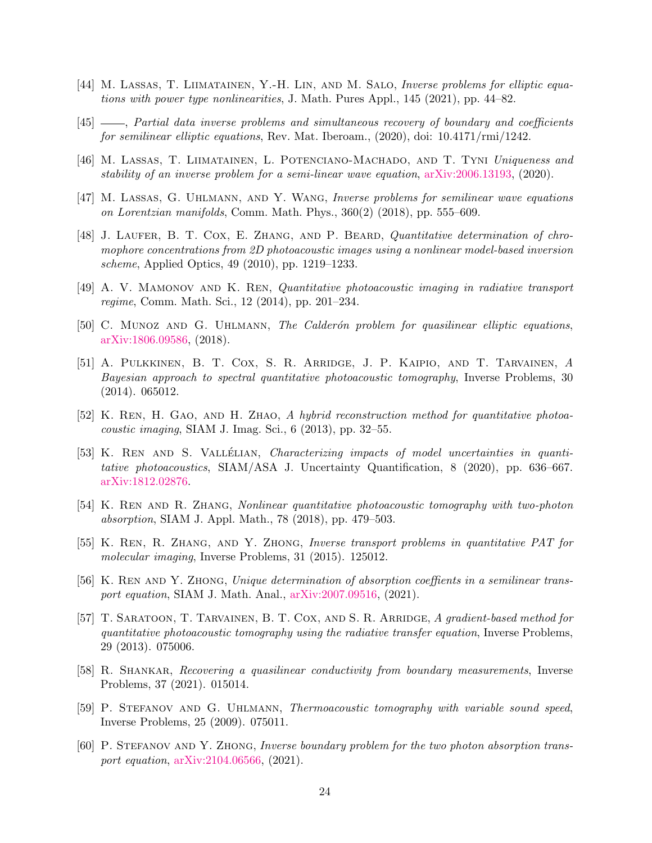- <span id="page-23-10"></span>[44] M. Lassas, T. Liimatainen, Y.-H. Lin, and M. Salo, Inverse problems for elliptic equations with power type nonlinearities, J. Math. Pures Appl., 145 (2021), pp. 44–82.
- <span id="page-23-11"></span>[45] , Partial data inverse problems and simultaneous recovery of boundary and coefficients for semilinear elliptic equations, Rev. Mat. Iberoam., (2020), doi: 10.4171/rmi/1242.
- <span id="page-23-12"></span>[46] M. Lassas, T. Liimatainen, L. Potenciano-Machado, and T. Tyni Uniqueness and stability of an inverse problem for a semi-linear wave equation, [arXiv:2006.13193,](http://arxiv.org/abs/2006.13193) (2020).
- <span id="page-23-13"></span>[47] M. Lassas, G. Uhlmann, and Y. Wang, Inverse problems for semilinear wave equations on Lorentzian manifolds, Comm. Math. Phys., 360(2) (2018), pp. 555–609.
- <span id="page-23-2"></span>[48] J. LAUFER, B. T. COX, E. ZHANG, AND P. BEARD, Quantitative determination of chromophore concentrations from 2D photoacoustic images using a nonlinear model-based inversion scheme, Applied Optics, 49 (2010), pp. 1219–1233.
- <span id="page-23-3"></span>[49] A. V. Mamonov and K. Ren, Quantitative photoacoustic imaging in radiative transport regime, Comm. Math. Sci., 12 (2014), pp. 201–234.
- <span id="page-23-14"></span>[50] C. MUNOZ AND G. UHLMANN, The Calderón problem for quasilinear elliptic equations, [arXiv:1806.09586,](http://arxiv.org/abs/1806.09586) (2018).
- <span id="page-23-4"></span>[51] A. Pulkkinen, B. T. Cox, S. R. Arridge, J. P. Kaipio, and T. Tarvainen, A Bayesian approach to spectral quantitative photoacoustic tomography, Inverse Problems, 30 (2014). 065012.
- <span id="page-23-9"></span>[52] K. Ren, H. Gao, and H. Zhao, A hybrid reconstruction method for quantitative photoacoustic imaging, SIAM J. Imag. Sci., 6 (2013), pp. 32–55.
- <span id="page-23-16"></span>[53] K. REN AND S. VALLÉLIAN, *Characterizing impacts of model uncertainties in quanti*tative photoacoustics, SIAM/ASA J. Uncertainty Quantification, 8 (2020), pp. 636–667. [arXiv:1812.02876.](http://arxiv.org/abs/1812.02876)
- <span id="page-23-7"></span>[54] K. Ren and R. Zhang, Nonlinear quantitative photoacoustic tomography with two-photon absorption, SIAM J. Appl. Math., 78 (2018), pp. 479–503.
- <span id="page-23-5"></span>[55] K. Ren, R. Zhang, and Y. Zhong, Inverse transport problems in quantitative PAT for molecular imaging, Inverse Problems, 31 (2015). 125012.
- <span id="page-23-0"></span>[56] K. Ren and Y. Zhong, Unique determination of absorption coeffients in a semilinear transport equation, SIAM J. Math. Anal., [arXiv:2007.09516,](http://arxiv.org/abs/2007.09516) (2021).
- <span id="page-23-6"></span>[57] T. Saratoon, T. Tarvainen, B. T. Cox, and S. R. Arridge, A gradient-based method for quantitative photoacoustic tomography using the radiative transfer equation, Inverse Problems, 29 (2013). 075006.
- <span id="page-23-15"></span>[58] R. Shankar, Recovering a quasilinear conductivity from boundary measurements, Inverse Problems, 37 (2021). 015014.
- <span id="page-23-1"></span>[59] P. STEFANOV AND G. UHLMANN, Thermoacoustic tomography with variable sound speed, Inverse Problems, 25 (2009). 075011.
- <span id="page-23-8"></span>[60] P. STEFANOV AND Y. ZHONG, Inverse boundary problem for the two photon absorption transport equation, [arXiv:2104.06566,](http://arxiv.org/abs/2104.06566) (2021).